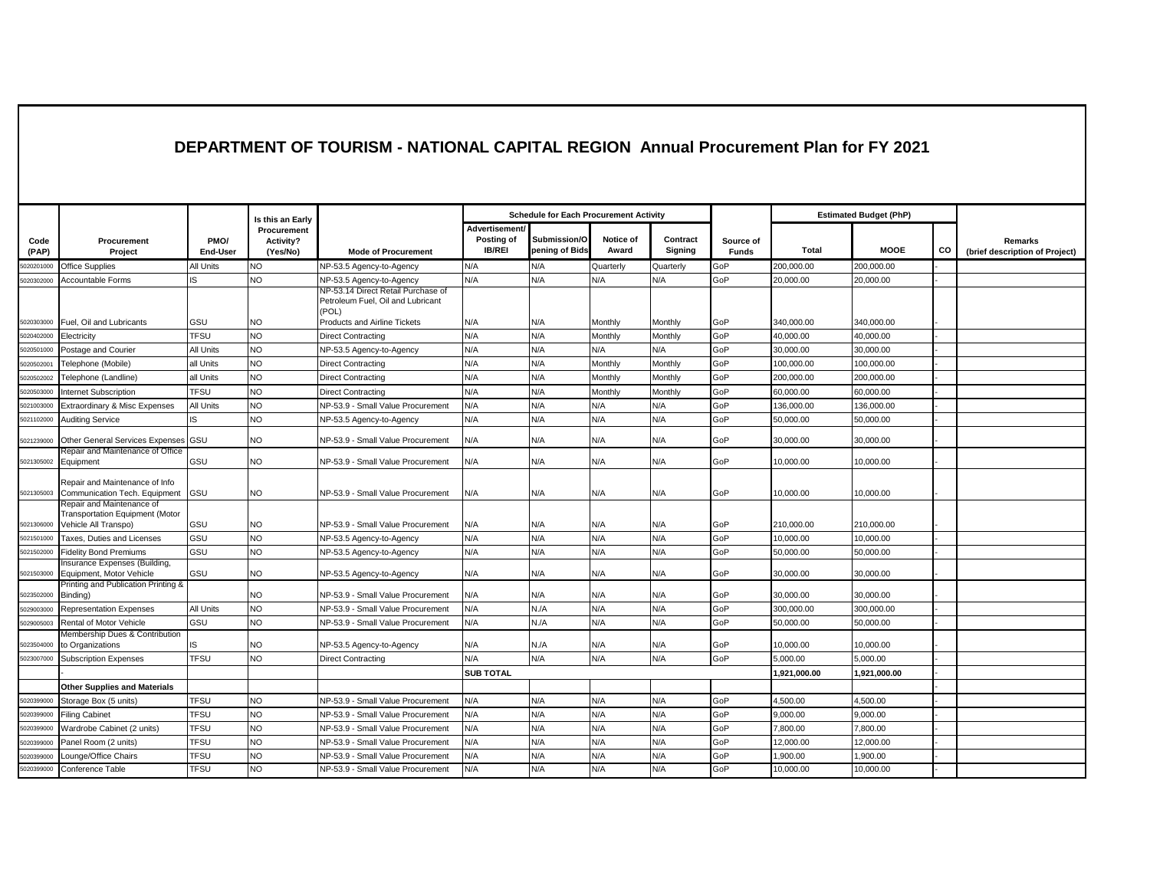## **DEPARTMENT OF TOURISM - NATIONAL CAPITAL REGION Annual Procurement Plan for FY 2021**

|               |                                                                                      |                  |                                      |                                                                                                                         | <b>Schedule for Each Procurement Activity</b> |                                |                    |                     |                           |              |                               |    |                                           |
|---------------|--------------------------------------------------------------------------------------|------------------|--------------------------------------|-------------------------------------------------------------------------------------------------------------------------|-----------------------------------------------|--------------------------------|--------------------|---------------------|---------------------------|--------------|-------------------------------|----|-------------------------------------------|
|               |                                                                                      |                  | Is this an Early                     |                                                                                                                         |                                               |                                |                    |                     |                           |              | <b>Estimated Budget (PhP)</b> |    |                                           |
| Code<br>(PAP) | Procurement<br>Project                                                               | PMO/<br>End-User | Procurement<br>Activity?<br>(Yes/No) | <b>Mode of Procurement</b>                                                                                              | Advertisement/<br>Posting of<br><b>IB/REI</b> | Submission/O<br>pening of Bids | Notice of<br>Award | Contract<br>Signing | Source of<br><b>Funds</b> | Total        | <b>MOOE</b>                   | CO | Remarks<br>(brief description of Project) |
| 020201000     | <b>Office Supplies</b>                                                               | All Units        | <b>NO</b>                            | NP-53.5 Agency-to-Agency                                                                                                | N/A                                           | N/A                            | Quarterly          | Quarterly           | GoP                       | 200.000.00   | 200,000.00                    |    |                                           |
| 5020302000    | <b>Accountable Forms</b>                                                             | R.               | NO.                                  | NP-53.5 Agency-to-Agency                                                                                                | N/A                                           | N/A                            | N/A                | N/A                 | GoP                       | 20,000.00    | 20,000.00                     |    |                                           |
| 5020303000    | Fuel. Oil and Lubricants                                                             | GSU              | NO.                                  | NP-53.14 Direct Retail Purchase of<br>Petroleum Fuel, Oil and Lubricant<br>(POL)<br><b>Products and Airline Tickets</b> | N/A                                           | N/A                            | Monthly            | Monthly             | GoP                       | 340.000.00   | 340.000.00                    |    |                                           |
| 5020402000    | Electricity                                                                          | <b>TFSU</b>      | NO                                   | <b>Direct Contracting</b>                                                                                               | N/A                                           | N/A                            | Monthly            | Monthly             | GoP                       | 40,000.00    | 40,000.00                     |    |                                           |
| 5020501000    | Postage and Courier                                                                  | All Units        | <b>NO</b>                            | NP-53.5 Agency-to-Agency                                                                                                | N/A                                           | N/A                            | N/A                | N/A                 | GoP                       | 30,000.00    | 30,000.00                     |    |                                           |
| 502050200     | Telephone (Mobile)                                                                   | all Units        | NO                                   | <b>Direct Contracting</b>                                                                                               | N/A                                           | N/A                            | Monthly            | Monthly             | GoP                       | 100,000.00   | 100,000.00                    |    |                                           |
| 502050200     | Telephone (Landline)                                                                 | all Units        | <b>NO</b>                            | <b>Direct Contracting</b>                                                                                               | N/A                                           | N/A                            | Monthly            | Monthly             | GoP                       | 200,000.00   | 200,000.00                    |    |                                           |
| 5020503000    | Internet Subscription                                                                | TFSU             | <b>NO</b>                            | <b>Direct Contracting</b>                                                                                               | N/A                                           | N/A                            | Monthly            | Monthly             | GoP                       | 60,000.00    | 60,000.00                     |    |                                           |
| 5021003000    | Extraordinary & Misc Expenses                                                        | All Units        | NO                                   | NP-53.9 - Small Value Procurement                                                                                       | N/A                                           | N/A                            | N/A                | N/A                 | GoP                       | 136,000.00   | 136,000.00                    |    |                                           |
| 5021102000    | <b>Auditing Service</b>                                                              | IS               | <b>NO</b>                            | NP-53.5 Agency-to-Agency                                                                                                | N/A                                           | N/A                            | N/A                | N/A                 | GoP                       | 50,000.00    | 50,000.00                     |    |                                           |
| 5021239000    | Other General Services Expenses GSU                                                  |                  | <b>NO</b>                            | NP-53.9 - Small Value Procurement                                                                                       | N/A                                           | N/A                            | N/A                | N/A                 | GoP                       | 30,000.00    | 30,000.00                     |    |                                           |
| 5021305002    | Repair and Maintenance of Office<br>Equipment                                        | GSU              | <b>NO</b>                            | NP-53.9 - Small Value Procurement                                                                                       | N/A                                           | N/A                            | N/A                | N/A                 | GoP                       | 10,000.00    | 10,000.00                     |    |                                           |
| 5021305003    | Repair and Maintenance of Info<br>Communication Tech. Equipment                      | GSU              | <b>NO</b>                            | NP-53.9 - Small Value Procurement                                                                                       | N/A                                           | N/A                            | N/A                | N/A                 | GoP                       | 10,000.00    | 10,000.00                     |    |                                           |
| 5021306000    | Repair and Maintenance of<br>Transportation Equipment (Motor<br>Vehicle All Transpo) | GSU              | N <sub>O</sub>                       | NP-53.9 - Small Value Procurement                                                                                       | N/A                                           | N/A                            | N/A                | N/A                 | GoP                       | 210,000.00   | 210,000.00                    |    |                                           |
| 5021501000    | Taxes. Duties and Licenses                                                           | GSU              | NO                                   | NP-53.5 Agency-to-Agency                                                                                                | N/A                                           | N/A                            | N/A                | N/A                 | GoP                       | 10,000.00    | 10,000.00                     |    |                                           |
| 5021502000    | <b>Fidelity Bond Premiums</b>                                                        | GSU              | <b>NO</b>                            | NP-53.5 Agency-to-Agency                                                                                                | N/A                                           | N/A                            | N/A                | N/A                 | GoP                       | 50,000.00    | 50,000.00                     |    |                                           |
|               | Insurance Expenses (Building,                                                        |                  |                                      |                                                                                                                         |                                               |                                |                    |                     |                           |              |                               |    |                                           |
| 5021503000    | Equipment, Motor Vehicle<br>Printing and Publication Printing &                      | GSU              | <b>NO</b>                            | NP-53.5 Agency-to-Agency                                                                                                | N/A                                           | N/A                            | N/A                | N/A                 | GoP                       | 30,000.00    | 30,000.00                     |    |                                           |
| 5023502000    | Binding)                                                                             |                  | <b>NO</b>                            | NP-53.9 - Small Value Procurement                                                                                       | N/A                                           | N/A                            | N/A                | N/A                 | GoP                       | 30,000.00    | 30,000.00                     |    |                                           |
| 5029003000    | <b>Representation Expenses</b>                                                       | All Units        | NO                                   | NP-53.9 - Small Value Procurement                                                                                       | N/A                                           | N.A                            | N/A                | N/A                 | GoP                       | 300,000.00   | 300,000.00                    |    |                                           |
| 5029005003    | Rental of Motor Vehicle                                                              | GSU              | <b>NO</b>                            | NP-53.9 - Small Value Procurement                                                                                       | N/A                                           | N.A                            | N/A                | N/A                 | GoP                       | 50,000.00    | 50,000.00                     |    |                                           |
| 5023504000    | Membership Dues & Contribution<br>to Organizations                                   | IS               | NO.                                  | NP-53.5 Agency-to-Agency                                                                                                | N/A                                           | N.A                            | N/A                | N/A                 | GoP                       | 10,000.00    | 10.000.00                     |    |                                           |
| 5023007000    | <b>Subscription Expenses</b>                                                         | <b>TFSU</b>      | NO.                                  | <b>Direct Contracting</b>                                                                                               | N/A                                           | N/A                            | N/A                | N/A                 | GoP                       | 5.000.00     | 5.000.00                      |    |                                           |
|               |                                                                                      |                  |                                      |                                                                                                                         | <b>SUB TOTAL</b>                              |                                |                    |                     |                           | 1.921.000.00 | 1.921.000.00                  |    |                                           |
|               | <b>Other Supplies and Materials</b>                                                  |                  |                                      |                                                                                                                         |                                               |                                |                    |                     |                           |              |                               |    |                                           |
| 5020399000    | Storage Box (5 units)                                                                | <b>TFSU</b>      | NO                                   | NP-53.9 - Small Value Procurement                                                                                       | N/A                                           | N/A                            | N/A                | N/A                 | GoP                       | 4,500.00     | 4,500.00                      |    |                                           |
| 5020399000    | <b>Filing Cabinet</b>                                                                | <b>TFSU</b>      | <b>NO</b>                            | NP-53.9 - Small Value Procurement                                                                                       | N/A                                           | N/A                            | N/A                | N/A                 | GoP                       | 9,000.00     | 9,000.00                      |    |                                           |
| 5020399000    | Wardrobe Cabinet (2 units)                                                           | <b>TFSU</b>      | NO.                                  | NP-53.9 - Small Value Procurement                                                                                       | N/A                                           | N/A                            | N/A                | N/A                 | GoP                       | 7,800.00     | 7,800.00                      |    |                                           |
| 5020399000    | Panel Room (2 units)                                                                 | TFSU             | NO.                                  | NP-53.9 - Small Value Procurement                                                                                       | N/A                                           | N/A                            | N/A                | N/A                 | GoP                       | 12,000.00    | 12,000.00                     |    |                                           |
| 502039900     | Lounge/Office Chairs                                                                 | TFSU             | NO.                                  | NP-53.9 - Small Value Procurement                                                                                       | N/A                                           | N/A                            | N/A                | N/A                 | GoP                       | 1,900.00     | 1.900.00                      |    |                                           |
| 5020399000    | Conference Table                                                                     | <b>TFSU</b>      | NO.                                  | NP-53.9 - Small Value Procurement                                                                                       | N/A                                           | N/A                            | N/A                | N/A                 | GoP                       | 10,000.00    | 10,000.00                     |    |                                           |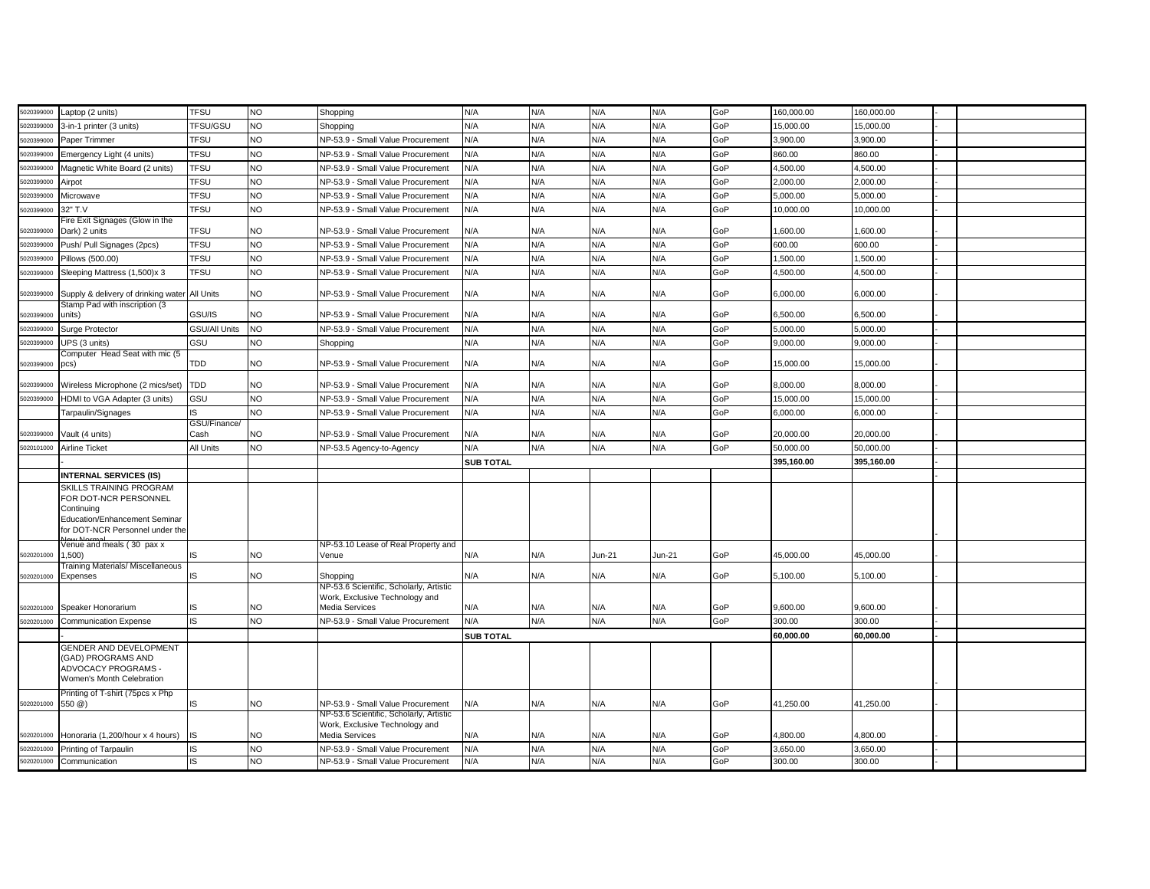| 5020399000 | aptop (2 units)                                                                | <b>TFSU</b>   | <b>NO</b> | Shopping                                         | N/A              | N/A | N/A      | N/A    | GoP | 160,000.00 | 160.000.00 |  |
|------------|--------------------------------------------------------------------------------|---------------|-----------|--------------------------------------------------|------------------|-----|----------|--------|-----|------------|------------|--|
| 5020399000 | 3-in-1 printer (3 units)                                                       | TFSU/GSU      | <b>NO</b> | Shopping                                         | N/A              | N/A | N/A      | N/A    | GoP | 15,000.00  | 15,000.00  |  |
| 5020399000 | Paper Trimmer                                                                  | <b>TFSU</b>   | NO        | NP-53.9 - Small Value Procurement                | N/A              | N/A | N/A      | N/A    | GoP | 3,900.00   | 3,900.00   |  |
| 5020399000 | Emergency Light (4 units)                                                      | <b>TFSU</b>   | NO.       | NP-53.9 - Small Value Procurement                | N/A              | N/A | N/A      | N/A    | GoP | 860.00     | 860.00     |  |
| 5020399000 | Magnetic White Board (2 units)                                                 | <b>TFSU</b>   | <b>NO</b> | NP-53.9 - Small Value Procurement                | N/A              | N/A | N/A      | N/A    | GoP | 4,500.00   | 4,500.00   |  |
| 5020399000 | Airpot                                                                         | <b>TFSU</b>   | NO.       | NP-53.9 - Small Value Procurement                | N/A              | N/A | N/A      | N/A    | GoP | 2,000.00   | 2,000.00   |  |
| 502039900  | Microwave                                                                      | <b>TFSU</b>   | NO        | NP-53.9 - Small Value Procurement                | N/A              | N/A | N/A      | N/A    | GoP | 5,000.00   | 5,000.00   |  |
| 502039900  | 32" T.V                                                                        | <b>TFSU</b>   | NO        | NP-53.9 - Small Value Procurement                | N/A              | N/A | N/A      | N/A    | GoP | 10,000.00  | 10,000.00  |  |
| 5020399000 | Fire Exit Signages (Glow in the<br>Dark) 2 units                               | <b>TFSU</b>   | NO        | NP-53.9 - Small Value Procurement                | N/A              | N/A | N/A      | N/A    | GoP | 1,600.00   | 1,600.00   |  |
| 5020399000 | Push/ Pull Signages (2pcs)                                                     | <b>TFSU</b>   | NO.       | NP-53.9 - Small Value Procurement                | N/A              | N/A | N/A      | N/A    | GoP | 600.00     | 600.00     |  |
| 5020399000 | Pillows (500.00)                                                               | <b>TFSU</b>   | <b>NO</b> | NP-53.9 - Small Value Procurement                | N/A              | N/A | N/A      | N/A    | GoP | 1,500.00   | 1,500.00   |  |
| 020399000  | Sleeping Mattress (1,500)x 3                                                   | <b>TFSU</b>   | NO        | NP-53.9 - Small Value Procurement                | N/A              | N/A | N/A      | N/A    | GoP | 1,500.00   | 1,500.00   |  |
|            |                                                                                |               |           |                                                  |                  |     |          |        |     |            |            |  |
| 5020399000 | Supply & delivery of drinking water All Units<br>Stamp Pad with inscription (3 |               | NO.       | NP-53.9 - Small Value Procurement                | N/A              | N/A | N/A      | N/A    | GoP | 6.000.00   | 6.000.00   |  |
| 020399000  | units)                                                                         | GSU/IS        | NO.       | NP-53.9 - Small Value Procurement                | N/A              | N/A | N/A      | N/A    | GoP | 6,500.00   | 6,500.00   |  |
| 5020399000 | Surge Protector                                                                | GSU/All Units | <b>NO</b> | NP-53.9 - Small Value Procurement                | N/A              | N/A | N/A      | N/A    | GoP | 5,000.00   | 5.000.00   |  |
| 5020399000 | UPS (3 units)                                                                  | GSU           | NO.       | Shopping                                         | N/A              | N/A | N/A      | N/A    | GoP | 9,000.00   | 9,000.00   |  |
| 5020399000 | Computer Head Seat with mic (5<br>pcs)                                         | TDD           | NO        | NP-53.9 - Small Value Procurement                | N/A              | N/A | N/A      | N/A    | GoP | 15,000.00  | 15,000.00  |  |
| 5020399000 | Wireless Microphone (2 mics/set) TDD                                           |               | NO.       | NP-53.9 - Small Value Procurement                | N/A              | N/A | N/A      | N/A    | GoP | 8,000.00   | 8,000.00   |  |
| 5020399000 | HDMI to VGA Adapter (3 units)                                                  | GSU           | NO        | NP-53.9 - Small Value Procurement                | N/A              | N/A | N/A      | N/A    | GoP | 15,000.00  | 15,000.00  |  |
|            | Tarpaulin/Signages                                                             | IS            | NO.       | NP-53.9 - Small Value Procurement                | N/A              | N/A | N/A      | N/A    | GoP | 6,000.00   | 6,000.00   |  |
|            |                                                                                | GSU/Finance/  |           |                                                  |                  |     |          |        |     |            |            |  |
| 5020399000 | Vault (4 units)                                                                | Cash          | NO        | NP-53.9 - Small Value Procurement                | N/A              | N/A | N/A      | N/A    | GoP | 20,000.00  | 20.000.00  |  |
| 5020101000 | Airline Ticket                                                                 | All Units     | NO        | NP-53.5 Agency-to-Agency                         | N/A              | N/A | N/A      | N/A    | GoP | 50,000.00  | 50,000.00  |  |
|            |                                                                                |               |           |                                                  | <b>SUB TOTAL</b> |     |          |        |     | 395,160.00 | 395,160.00 |  |
|            | <b>INTERNAL SERVICES (IS)</b>                                                  |               |           |                                                  |                  |     |          |        |     |            |            |  |
|            | SKILLS TRAINING PROGRAM<br>FOR DOT-NCR PERSONNEL                               |               |           |                                                  |                  |     |          |        |     |            |            |  |
|            | Continuing                                                                     |               |           |                                                  |                  |     |          |        |     |            |            |  |
|            | Education/Enhancement Seminar                                                  |               |           |                                                  |                  |     |          |        |     |            |            |  |
|            | for DOT-NCR Personnel under the                                                |               |           |                                                  |                  |     |          |        |     |            |            |  |
|            | Venue and meals (30 pax x                                                      |               |           | NP-53.10 Lease of Real Property and              |                  |     |          |        |     |            |            |  |
| 5020201000 | 1,500)<br>Training Materials/ Miscellaneous                                    | IS            | NO        | Venue                                            | N/A              | N/A | $Jun-21$ | Jun-21 | GoP | 45,000.00  | 45,000.00  |  |
| 5020201000 | Expenses                                                                       | IS            | NO        | Shopping                                         | N/A              | N/A | N/A      | N/A    | GoP | 5,100.00   | 5,100.00   |  |
|            |                                                                                |               |           | NP-53.6 Scientific, Scholarly, Artistic          |                  |     |          |        |     |            |            |  |
| 5020201000 | Speaker Honorarium                                                             | IS            | <b>NO</b> | Work, Exclusive Technology and<br>Media Services | N/A              | N/A | N/A      | N/A    | GoP | 9,600.00   | 9,600.00   |  |
| 5020201000 | <b>Communication Expense</b>                                                   | IS            | NO        | NP-53.9 - Small Value Procurement                | N/A              | N/A | N/A      | N/A    | GoP | 300.00     | 300.00     |  |
|            |                                                                                |               |           |                                                  | <b>SUB TOTAL</b> |     |          |        |     | 60.000.00  | 60,000.00  |  |
|            | GENDER AND DEVELOPMENT                                                         |               |           |                                                  |                  |     |          |        |     |            |            |  |
|            | (GAD) PROGRAMS AND                                                             |               |           |                                                  |                  |     |          |        |     |            |            |  |
|            | ADVOCACY PROGRAMS -                                                            |               |           |                                                  |                  |     |          |        |     |            |            |  |
|            | Women's Month Celebration                                                      |               |           |                                                  |                  |     |          |        |     |            |            |  |
| 5020201000 | Printing of T-shirt (75pcs x Php<br>550 @)                                     | IS            | NO.       | NP-53.9 - Small Value Procurement                | N/A              | N/A | N/A      | N/A    | GoP | 41.250.00  | 41.250.00  |  |
|            |                                                                                |               |           | NP-53.6 Scientific, Scholarly, Artistic          |                  |     |          |        |     |            |            |  |
| 5020201000 | Honoraria (1,200/hour x 4 hours)                                               | IS            | NO.       | Work, Exclusive Technology and<br>Media Services | N/A              | N/A | N/A      | N/A    | GoP | 4,800.00   | 4,800.00   |  |
| 5020201000 | Printing of Tarpaulin                                                          | IS            | NO        | NP-53.9 - Small Value Procurement                | N/A              | N/A | N/A      | N/A    | GoP | 3,650.00   | 3,650.00   |  |
| 5020201000 | Communication                                                                  | IS            | NO        | NP-53.9 - Small Value Procurement                | N/A              | N/A | N/A      | N/A    | GoP | 300.00     | 300.00     |  |
|            |                                                                                |               |           |                                                  |                  |     |          |        |     |            |            |  |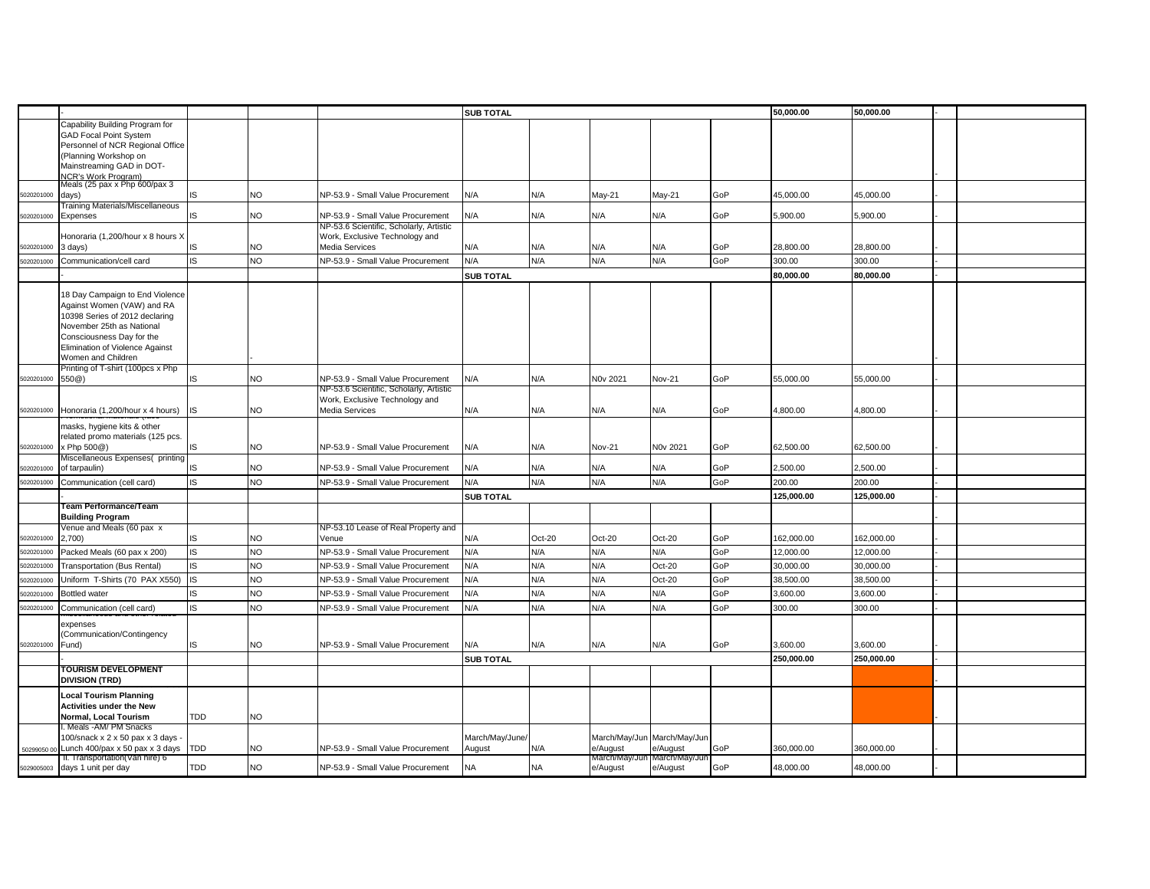|             |                                                                   |           |           |                                                                           | <b>SUB TOTAL</b> |           |               |                             |     | 50.000.00  | 50.000.00  |  |
|-------------|-------------------------------------------------------------------|-----------|-----------|---------------------------------------------------------------------------|------------------|-----------|---------------|-----------------------------|-----|------------|------------|--|
|             | Capability Building Program for                                   |           |           |                                                                           |                  |           |               |                             |     |            |            |  |
|             | <b>GAD Focal Point System</b><br>Personnel of NCR Regional Office |           |           |                                                                           |                  |           |               |                             |     |            |            |  |
|             | (Planning Workshop on                                             |           |           |                                                                           |                  |           |               |                             |     |            |            |  |
|             | Mainstreaming GAD in DOT-                                         |           |           |                                                                           |                  |           |               |                             |     |            |            |  |
|             | NCR's Work Program)<br>Meals (25 pax x Php 600/pax 3              |           |           |                                                                           |                  |           |               |                             |     |            |            |  |
| 5020201000  | days)                                                             | IS        | NO.       | NP-53.9 - Small Value Procurement                                         | N/A              | N/A       | May-21        | May-21                      | GoP | 45,000.00  | 45,000.00  |  |
|             | Training Materials/Miscellaneous                                  |           |           |                                                                           |                  |           |               |                             |     |            |            |  |
| 5020201000  | Expenses                                                          | IS        | NO        | NP-53.9 - Small Value Procurement                                         | N/A              | N/A       | N/A           | N/A                         | GoP | 5,900.00   | 5,900.00   |  |
|             | Honoraria (1,200/hour x 8 hours X                                 |           |           | NP-53.6 Scientific, Scholarly, Artistic<br>Work, Exclusive Technology and |                  |           |               |                             |     |            |            |  |
| 5020201000  | 3 days)                                                           | IS        | NO.       | Media Services                                                            | N/A              | N/A       | N/A           | N/A                         | GoP | 28,800.00  | 28,800.00  |  |
| 5020201000  | Communication/cell card                                           | IS        | NO        | NP-53.9 - Small Value Procurement                                         | N/A              | N/A       | N/A           | N/A                         | GoP | 300.00     | 300.00     |  |
|             |                                                                   |           |           |                                                                           | <b>SUB TOTAL</b> |           |               |                             |     | 80.000.00  | 80.000.00  |  |
|             |                                                                   |           |           |                                                                           |                  |           |               |                             |     |            |            |  |
|             | 18 Day Campaign to End Violence                                   |           |           |                                                                           |                  |           |               |                             |     |            |            |  |
|             | Against Women (VAW) and RA<br>10398 Series of 2012 declaring      |           |           |                                                                           |                  |           |               |                             |     |            |            |  |
|             | November 25th as National                                         |           |           |                                                                           |                  |           |               |                             |     |            |            |  |
|             | Consciousness Day for the                                         |           |           |                                                                           |                  |           |               |                             |     |            |            |  |
|             | Elimination of Violence Against                                   |           |           |                                                                           |                  |           |               |                             |     |            |            |  |
|             | Women and Children<br>Printing of T-shirt (100pcs x Php           |           |           |                                                                           |                  |           |               |                             |     |            |            |  |
| 5020201000  | 550 <sup>(2)</sup>                                                | IS        | NO        | NP-53.9 - Small Value Procurement                                         | N/A              | N/A       | N0v 2021      | Nov-21                      | GoP | 55,000.00  | 55,000.00  |  |
|             |                                                                   |           |           | NP-53.6 Scientific, Scholarly, Artistic                                   |                  |           |               |                             |     |            |            |  |
| 5020201000  | Honoraria (1,200/hour x 4 hours)                                  | <b>IS</b> | NO.       | Work, Exclusive Technology and<br>Media Services                          | N/A              | N/A       | N/A           | N/A                         | GoP | 4,800.00   | 4,800.00   |  |
|             |                                                                   |           |           |                                                                           |                  |           |               |                             |     |            |            |  |
|             | masks, hygiene kits & other<br>related promo materials (125 pcs.  |           |           |                                                                           |                  |           |               |                             |     |            |            |  |
| 5020201000  | x Php 500@)                                                       | IS        | NO.       | NP-53.9 - Small Value Procurement                                         | N/A              | N/A       | Nov-21        | N0v 2021                    | GoP | 62,500.00  | 62,500.00  |  |
|             | Miscellaneous Expenses(printing                                   |           |           |                                                                           |                  |           |               |                             |     |            |            |  |
| 5020201000  | of tarpaulin)                                                     | <b>IS</b> | NO.       | NP-53.9 - Small Value Procurement                                         | N/A              | N/A       | N/A           | N/A                         | GoP | 2.500.00   | 2.500.00   |  |
| 5020201000  | Communication (cell card)                                         | <b>IS</b> | NO.       | NP-53.9 - Small Value Procurement                                         | N/A              | N/A       | N/A           | N/A                         | GoP | 200.00     | 200.00     |  |
|             |                                                                   |           |           |                                                                           | <b>SUB TOTAL</b> |           |               |                             |     | 125.000.00 | 125.000.00 |  |
|             | Team Performance/Team<br><b>Building Program</b>                  |           |           |                                                                           |                  |           |               |                             |     |            |            |  |
|             | Venue and Meals (60 pax x                                         |           |           | NP-53.10 Lease of Real Property and                                       |                  |           |               |                             |     |            |            |  |
| 5020201000  | 2,700)                                                            | IS        | NO        | Venue                                                                     | N/A              | Oct-20    | Oct-20        | $Oct-20$                    | GoP | 162,000.00 | 162,000.00 |  |
| 5020201000  | Packed Meals (60 pax x 200)                                       | <b>IS</b> | NO        | NP-53.9 - Small Value Procurement                                         | N/A              | N/A       | N/A           | N/A                         | GoP | 12,000.00  | 12,000.00  |  |
| 5020201000  | <b>Transportation (Bus Rental)</b>                                | <b>IS</b> | NO        | NP-53.9 - Small Value Procurement                                         | N/A              | N/A       | N/A           | Oct-20                      | GoP | 30,000.00  | 30,000.00  |  |
| 5020201000  | Jniform T-Shirts (70 PAX X550)                                    | <b>IS</b> | NO        | NP-53.9 - Small Value Procurement                                         | N/A              | N/A       | N/A           | $Oct-20$                    | GoP | 38,500.00  | 38,500.00  |  |
| 5020201000  | <b>Bottled water</b>                                              | IS        | <b>NO</b> | NP-53.9 - Small Value Procurement                                         | N/A              | N/A       | N/A           | N/A                         | GoP | 3,600.00   | 3,600.00   |  |
| 5020201000  | Communication (cell card)                                         | <b>IS</b> | NO        | NP-53.9 - Small Value Procurement                                         | N/A              | N/A       | N/A           | N/A                         | GoP | 300.00     | 300.00     |  |
|             | expenses                                                          |           |           |                                                                           |                  |           |               |                             |     |            |            |  |
|             | (Communication/Contingency                                        |           |           |                                                                           |                  |           |               |                             |     |            |            |  |
| 5020201000  | Fund)                                                             | IS        | NO.       | NP-53.9 - Small Value Procurement                                         | <b>N/A</b>       | N/A       | N/A           | N/A                         | GoP | 3,600.00   | 3,600.00   |  |
|             |                                                                   |           |           |                                                                           | <b>SUB TOTAL</b> |           |               |                             |     | 250.000.00 | 250.000.00 |  |
|             | <b>TOURISM DEVELOPMENT</b><br><b>DIVISION (TRD)</b>               |           |           |                                                                           |                  |           |               |                             |     |            |            |  |
|             | <b>Local Tourism Planning</b>                                     |           |           |                                                                           |                  |           |               |                             |     |            |            |  |
|             | <b>Activities under the New</b>                                   |           |           |                                                                           |                  |           |               |                             |     |            |            |  |
|             | Normal, Local Tourism                                             | TDD       | NO.       |                                                                           |                  |           |               |                             |     |            |            |  |
|             | . Meals -AM/ PM Snacks<br>100/snack x 2 x 50 pax x 3 days         |           |           |                                                                           | March/May/June/  |           |               | March/May/Jun March/May/Jun |     |            |            |  |
| 50299050 00 | Lunch 400/pax x 50 pax x 3 days TDD                               |           | NO.       | NP-53.9 - Small Value Procurement                                         | August           | N/A       | e/August      | e/August                    | GoP | 360,000.00 | 360,000.00 |  |
|             | II. Transportation(Van hire) 6                                    |           |           |                                                                           |                  |           | March/May/Jun | March/May/Jur               |     |            |            |  |
| 5029005003  | days 1 unit per day                                               | TDD       | NO        | NP-53.9 - Small Value Procurement                                         | NA               | <b>NA</b> | e/August      | e/August                    | GoP | 48,000.00  | 48,000.00  |  |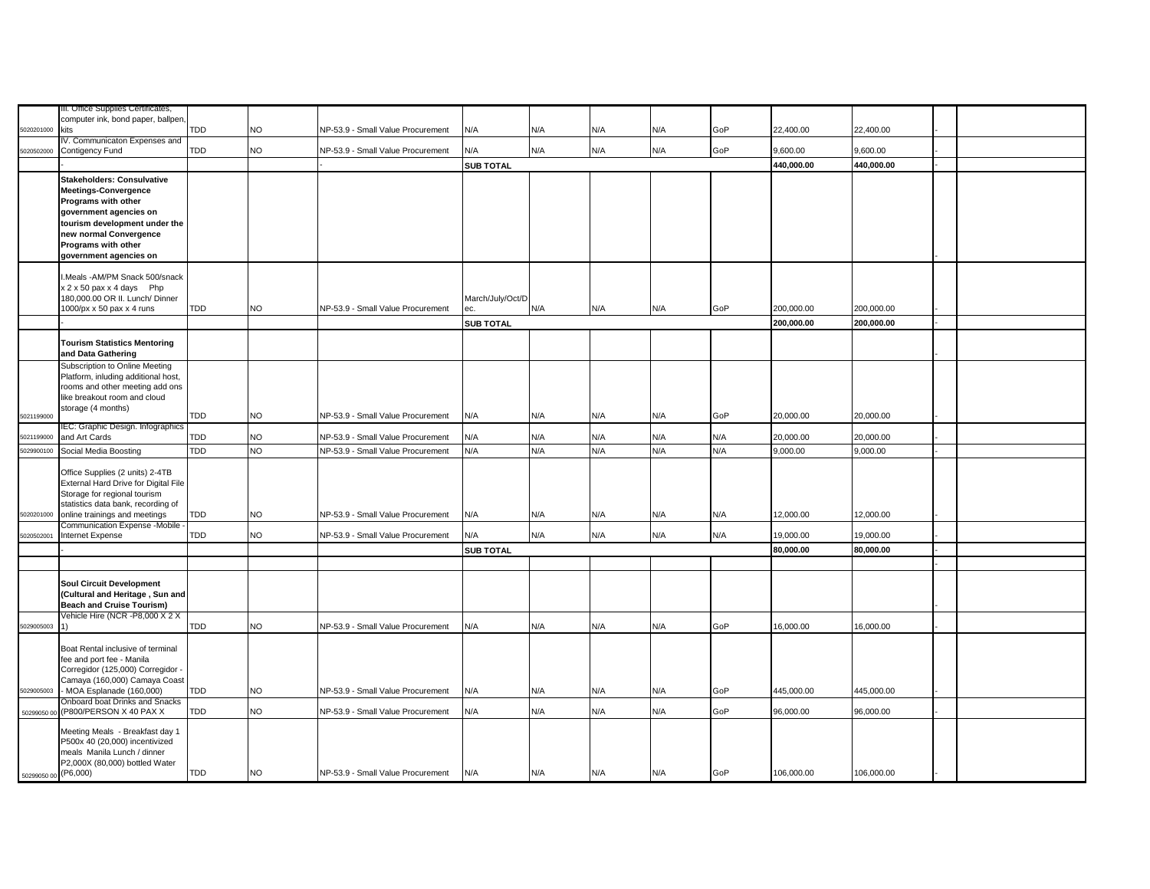|                      | III. Office Supplies Certificates,                                  |            |           |                                   |                  |     |     |     |     |            |            |  |
|----------------------|---------------------------------------------------------------------|------------|-----------|-----------------------------------|------------------|-----|-----|-----|-----|------------|------------|--|
|                      | computer ink, bond paper, ballpen,                                  |            |           |                                   |                  |     |     |     |     |            |            |  |
| 6020201000           | kits                                                                | TDD        | NO        | NP-53.9 - Small Value Procurement | N/A              | N/A | N/A | N/A | GoP | 22,400.00  | 22,400.00  |  |
|                      | IV. Communicaton Expenses and                                       |            |           |                                   |                  |     |     |     |     |            |            |  |
| 5020502000           | Contigency Fund                                                     | TDD        | <b>NO</b> | NP-53.9 - Small Value Procurement | N/A              | N/A | N/A | N/A | GoP | 9,600.00   | 9,600.00   |  |
|                      |                                                                     |            |           |                                   | <b>SUB TOTAL</b> |     |     |     |     | 440,000.00 | 440,000.00 |  |
|                      | <b>Stakeholders: Consulvative</b>                                   |            |           |                                   |                  |     |     |     |     |            |            |  |
|                      | <b>Meetings-Convergence</b>                                         |            |           |                                   |                  |     |     |     |     |            |            |  |
|                      | Programs with other                                                 |            |           |                                   |                  |     |     |     |     |            |            |  |
|                      | government agencies on                                              |            |           |                                   |                  |     |     |     |     |            |            |  |
|                      | tourism development under the<br>new normal Convergence             |            |           |                                   |                  |     |     |     |     |            |            |  |
|                      | Programs with other                                                 |            |           |                                   |                  |     |     |     |     |            |            |  |
|                      | government agencies on                                              |            |           |                                   |                  |     |     |     |     |            |            |  |
|                      |                                                                     |            |           |                                   |                  |     |     |     |     |            |            |  |
|                      | I.Meals -AM/PM Snack 500/snack                                      |            |           |                                   |                  |     |     |     |     |            |            |  |
|                      | x 2 x 50 pax x 4 days Php                                           |            |           |                                   |                  |     |     |     |     |            |            |  |
|                      | 180,000.00 OR II. Lunch/ Dinner                                     |            |           |                                   | March/July/Oct/D |     |     |     |     |            |            |  |
|                      | 1000/px x 50 pax x 4 runs                                           | <b>TDD</b> | <b>NO</b> | NP-53.9 - Small Value Procurement | ec.              | N/A | N/A | N/A | GoP | 200,000.00 | 200,000.00 |  |
|                      |                                                                     |            |           |                                   | <b>SUB TOTAL</b> |     |     |     |     | 200,000.00 | 200,000.00 |  |
|                      | <b>Tourism Statistics Mentoring</b>                                 |            |           |                                   |                  |     |     |     |     |            |            |  |
|                      | and Data Gathering                                                  |            |           |                                   |                  |     |     |     |     |            |            |  |
|                      | Subscription to Online Meeting                                      |            |           |                                   |                  |     |     |     |     |            |            |  |
|                      | Platform, inluding additional host,                                 |            |           |                                   |                  |     |     |     |     |            |            |  |
|                      | rooms and other meeting add ons                                     |            |           |                                   |                  |     |     |     |     |            |            |  |
|                      | like breakout room and cloud                                        |            |           |                                   |                  |     |     |     |     |            |            |  |
| 5021199000           | storage (4 months)                                                  | TDD        | <b>NO</b> | NP-53.9 - Small Value Procurement | N/A              | N/A | N/A | N/A | GoP | 20,000.00  | 20,000.00  |  |
|                      | IEC: Graphic Design. Infographics                                   |            |           |                                   |                  |     |     |     |     |            |            |  |
| 5021199000           | and Art Cards                                                       | TDD        | <b>NO</b> | NP-53.9 - Small Value Procurement | N/A              | N/A | N/A | N/A | N/A | 20,000.00  | 20,000.00  |  |
| 029900100            | Social Media Boosting                                               | TDD        | <b>NO</b> | NP-53.9 - Small Value Procurement | N/A              | N/A | N/A | N/A | N/A | 9,000.00   | 9,000.00   |  |
|                      |                                                                     |            |           |                                   |                  |     |     |     |     |            |            |  |
|                      | Office Supplies (2 units) 2-4TB                                     |            |           |                                   |                  |     |     |     |     |            |            |  |
|                      | External Hard Drive for Digital File                                |            |           |                                   |                  |     |     |     |     |            |            |  |
|                      | Storage for regional tourism<br>statistics data bank, recording of  |            |           |                                   |                  |     |     |     |     |            |            |  |
| 5020201000           | online trainings and meetings                                       | TDD        | <b>NO</b> | NP-53.9 - Small Value Procurement | N/A              | N/A | N/A | N/A | N/A | 12,000.00  | 12,000.00  |  |
|                      | Communication Expense -Mobile -                                     |            |           |                                   |                  |     |     |     |     |            |            |  |
| 5020502001           | Internet Expense                                                    | TDD        | <b>NO</b> | NP-53.9 - Small Value Procurement | N/A              | N/A | N/A | N/A | N/A | 19,000.00  | 19,000.00  |  |
|                      |                                                                     |            |           |                                   | <b>SUB TOTAL</b> |     |     |     |     | 80,000.00  | 80,000.00  |  |
|                      |                                                                     |            |           |                                   |                  |     |     |     |     |            |            |  |
|                      |                                                                     |            |           |                                   |                  |     |     |     |     |            |            |  |
|                      | Soul Circuit Development                                            |            |           |                                   |                  |     |     |     |     |            |            |  |
|                      | (Cultural and Heritage, Sun and<br><b>Beach and Cruise Tourism)</b> |            |           |                                   |                  |     |     |     |     |            |            |  |
|                      | Vehicle Hire (NCR -P8,000 X 2 X                                     |            |           |                                   |                  |     |     |     |     |            |            |  |
| 5029005003           | 1)                                                                  | TDD        | <b>NO</b> | NP-53.9 - Small Value Procurement | N/A              | N/A | N/A | N/A | GoP | 16,000.00  | 16.000.00  |  |
|                      |                                                                     |            |           |                                   |                  |     |     |     |     |            |            |  |
|                      | Boat Rental inclusive of terminal                                   |            |           |                                   |                  |     |     |     |     |            |            |  |
|                      | fee and port fee - Manila                                           |            |           |                                   |                  |     |     |     |     |            |            |  |
|                      | Corregidor (125,000) Corregidor -                                   |            |           |                                   |                  |     |     |     |     |            |            |  |
| 5029005003           | Camaya (160,000) Camaya Coast<br>- MOA Esplanade (160,000)          | TDD        | <b>NO</b> | NP-53.9 - Small Value Procurement | N/A              | N/A | N/A | N/A | GoP | 445,000.00 | 445,000.00 |  |
|                      | Onboard boat Drinks and Snacks                                      |            |           |                                   |                  |     |     |     |     |            |            |  |
| 50299050 00          | (P800/PERSON X 40 PAX X                                             | TDD        | <b>NO</b> | NP-53.9 - Small Value Procurement | N/A              | N/A | N/A | N/A | GoP | 96,000.00  | 96,000.00  |  |
|                      |                                                                     |            |           |                                   |                  |     |     |     |     |            |            |  |
|                      | Meeting Meals - Breakfast day 1<br>P500x 40 (20,000) incentivized   |            |           |                                   |                  |     |     |     |     |            |            |  |
|                      | meals Manila Lunch / dinner                                         |            |           |                                   |                  |     |     |     |     |            |            |  |
|                      | P2,000X (80,000) bottled Water                                      |            |           |                                   |                  |     |     |     |     |            |            |  |
| 50299050 00 (P6,000) |                                                                     | TDD        | <b>NO</b> | NP-53.9 - Small Value Procurement | N/A              | N/A | N/A | N/A | GoP | 106,000.00 | 106,000.00 |  |
|                      |                                                                     |            |           |                                   |                  |     |     |     |     |            |            |  |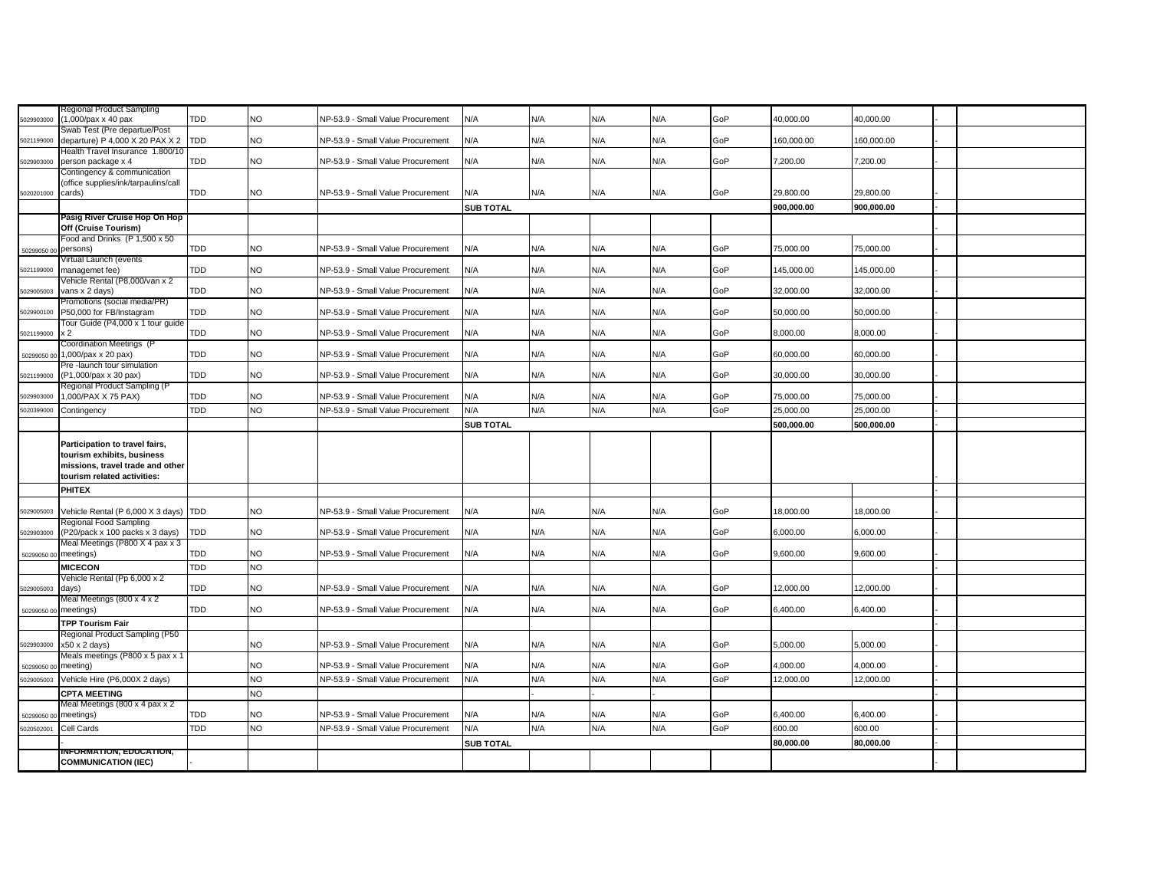|             | Regional Product Sampling                                               |            |           |                                   |                  |     |     |            |     |            |            |  |
|-------------|-------------------------------------------------------------------------|------------|-----------|-----------------------------------|------------------|-----|-----|------------|-----|------------|------------|--|
| 5029903000  | (1,000/pax x 40 pax                                                     | <b>TDD</b> | NO        | NP-53.9 - Small Value Procurement | N/A              | N/A | N/A | N/A        | GoP | 40.000.00  | 40.000.00  |  |
|             | Swab Test (Pre departue/Post                                            |            |           |                                   |                  |     |     |            |     |            |            |  |
| 5021199000  | departure) P 4,000 X 20 PAX X 2 TDD<br>Health Travel Insurance 1.800/10 |            | NO.       | NP-53.9 - Small Value Procurement | N/A              | N/A | N/A | N/A        | GoP | 160,000.00 | 160,000.00 |  |
| 5029903000  | person package x 4                                                      | <b>TDD</b> | NO.       | NP-53.9 - Small Value Procurement | N/A              | N/A | N/A | N/A        | GoP | 7,200.00   | 7,200.00   |  |
|             | Contingency & communication                                             |            |           |                                   |                  |     |     |            |     |            |            |  |
|             | (office supplies/ink/tarpaulins/call                                    |            |           |                                   |                  |     |     |            |     |            |            |  |
| 5020201000  | cards)                                                                  | <b>TDD</b> | NO        | NP-53.9 - Small Value Procurement | N/A              | N/A | N/A | N/A        | GoP | 29,800.00  | 29,800.00  |  |
|             |                                                                         |            |           |                                   | <b>SUB TOTAL</b> |     |     |            |     | 900,000.00 | 900,000.00 |  |
|             | Pasig River Cruise Hop On Hop                                           |            |           |                                   |                  |     |     |            |     |            |            |  |
|             | Off (Cruise Tourism)                                                    |            |           |                                   |                  |     |     |            |     |            |            |  |
|             | Food and Drinks (P 1,500 x 50<br>persons)                               | <b>TDD</b> | NO        | NP-53.9 - Small Value Procurement | N/A              | N/A | N/A | N/A        | GoP | 75,000.00  | 75,000.00  |  |
| 50299050 0  | Virtual Launch (events                                                  |            |           |                                   |                  |     |     |            |     |            |            |  |
| 5021199000  | managemet fee)                                                          | <b>TDD</b> | <b>NO</b> | NP-53.9 - Small Value Procurement | N/A              | N/A | N/A | N/A        | GoP | 145,000.00 | 145,000.00 |  |
|             | Vehicle Rental (P8,000/van x 2                                          |            |           |                                   |                  |     |     |            |     |            |            |  |
| 5029005003  | vans x 2 days)                                                          | <b>TDD</b> | NO        | NP-53.9 - Small Value Procurement | N/A              | N/A | N/A | N/A        | GoP | 32,000.00  | 32,000.00  |  |
|             | Promotions (social media/PR)                                            |            |           |                                   |                  |     |     |            |     |            |            |  |
| 6029900100  | P50,000 for FB/Instagram<br>Tour Guide (P4,000 x 1 tour guide           | <b>TDD</b> | NO        | NP-53.9 - Small Value Procurement | N/A              | N/A | N/A | N/A        | GoP | 50,000.00  | 50,000.00  |  |
| 5021199000  | x <sub>2</sub>                                                          | <b>TDD</b> | NO        | NP-53.9 - Small Value Procurement | N/A              | N/A | N/A | N/A        | GoP | 8,000.00   | 8.000.00   |  |
|             | Coordination Meetings (P                                                |            |           |                                   |                  |     |     |            |     |            |            |  |
| 50299050 00 | 1,000/pax x 20 pax)                                                     | <b>TDD</b> | NO        | NP-53.9 - Small Value Procurement | N/A              | N/A | N/A | N/A        | GoP | 60,000.00  | 60,000.00  |  |
|             | Pre-launch tour simulation                                              |            |           |                                   |                  |     |     |            |     |            |            |  |
| 5021199000  | (P1,000/pax x 30 pax)                                                   | <b>TDD</b> | NO        | NP-53.9 - Small Value Procurement | N/A              | N/A | N/A | N/A        | GoP | 30,000.00  | 30,000.00  |  |
| 5029903000  | Regional Product Sampling (P<br>1,000/PAX X 75 PAX)                     | <b>TDD</b> | NO        | NP-53.9 - Small Value Procurement | N/A              | N/A | N/A | N/A        | GoP | 75,000.00  | 75,000.00  |  |
|             |                                                                         |            | <b>NO</b> |                                   |                  |     |     |            |     |            |            |  |
| 6020399000  | Contingency                                                             | <b>TDD</b> |           | NP-53.9 - Small Value Procurement | N/A              | N/A | N/A | N/A        | GoP | 25,000.00  | 25,000.00  |  |
|             |                                                                         |            |           |                                   | <b>SUB TOTAL</b> |     |     |            |     | 500,000.00 | 500,000.00 |  |
|             | Participation to travel fairs,                                          |            |           |                                   |                  |     |     |            |     |            |            |  |
|             | tourism exhibits, business                                              |            |           |                                   |                  |     |     |            |     |            |            |  |
|             | missions, travel trade and other                                        |            |           |                                   |                  |     |     |            |     |            |            |  |
|             | tourism related activities:                                             |            |           |                                   |                  |     |     |            |     |            |            |  |
|             | <b>PHITEX</b>                                                           |            |           |                                   |                  |     |     |            |     |            |            |  |
|             |                                                                         |            |           |                                   |                  |     |     |            |     |            |            |  |
| 5029005003  | Vehicle Rental (P 6,000 X 3 days) TDD                                   |            | <b>NO</b> | NP-53.9 - Small Value Procurement | N/A              | N/A | N/A | N/A        | GoP | 18,000.00  | 18,000.00  |  |
| 5029903000  | Regional Food Sampling<br>(P20/pack x 100 packs x 3 days)               | <b>TDD</b> | NO        | NP-53.9 - Small Value Procurement | N/A              | N/A | N/A | <b>V/A</b> | GoP | 6,000.00   | 6,000.00   |  |
|             | Meal Meetings (P800 X 4 pax x 3                                         |            |           |                                   |                  |     |     |            |     |            |            |  |
| 50299050 0  | meetings)                                                               | <b>TDD</b> | NO        | NP-53.9 - Small Value Procurement | N/A              | N/A | N/A | N/A        | GoP | 9,600.00   | 9,600.00   |  |
|             | <b>MICECON</b>                                                          | <b>TDD</b> | <b>NO</b> |                                   |                  |     |     |            |     |            |            |  |
|             | Vehicle Rental (Pp 6,000 x 2                                            |            |           |                                   |                  |     |     |            |     |            |            |  |
| 5029005003  | days)                                                                   | <b>TDD</b> | NO.       | NP-53.9 - Small Value Procurement | N/A              | N/A | N/A | N/A        | GoP | 12,000.00  | 12,000.00  |  |
|             | Meal Meetings (800 x 4 x 2                                              |            |           |                                   |                  |     |     |            |     |            |            |  |
| 502990500   | meetings)                                                               | <b>TDD</b> | <b>NO</b> | NP-53.9 - Small Value Procurement | N/A              | N/A | N/A | N/A        | GoP | 6,400.00   | 6,400.00   |  |
|             | <b>TPP Tourism Fair</b>                                                 |            |           |                                   |                  |     |     |            |     |            |            |  |
| 5029903000  | Regional Product Sampling (P50<br>$x50 \times 2$ days)                  |            | NO        | NP-53.9 - Small Value Procurement | N/A              | N/A | N/A | N/A        | GoP | 5,000.00   | 5,000.00   |  |
|             | Meals meetings (P800 x 5 pax x 1                                        |            |           |                                   |                  |     |     |            |     |            |            |  |
| 502990500   | meeting)                                                                |            | NO        | NP-53.9 - Small Value Procurement | N/A              | N/A | N/A | N/A        | GoP | 4,000.00   | 4,000.00   |  |
| 6029005003  | Vehicle Hire (P6,000X 2 days)                                           |            | <b>NO</b> | NP-53.9 - Small Value Procurement | N/A              | N/A | N/A | N/A        | GoP | 12,000.00  | 12,000.00  |  |
|             | <b>CPTA MEETING</b>                                                     |            | NO        |                                   |                  |     |     |            |     |            |            |  |
|             | Meal Meetings (800 x 4 pax x 2                                          |            |           |                                   |                  |     |     |            |     |            |            |  |
| 50299050    | meetings)                                                               | <b>TDD</b> | NO        | NP-53.9 - Small Value Procurement | N/A              | N/A | N/A | N/A        | GoP | 6,400.00   | 6,400.00   |  |
| 5020502001  | Cell Cards                                                              | <b>TDD</b> | <b>NO</b> | NP-53.9 - Small Value Procurement | N/A              | N/A | N/A | N/A        | GoP | 600.00     | 600.00     |  |
|             |                                                                         |            |           |                                   | <b>SUB TOTAL</b> |     |     |            |     | 80.000.00  | 80.000.00  |  |
|             | <b>INFORMATION, EDUCATION,</b>                                          |            |           |                                   |                  |     |     |            |     |            |            |  |
|             | <b>COMMUNICATION (IEC)</b>                                              |            |           |                                   |                  |     |     |            |     |            |            |  |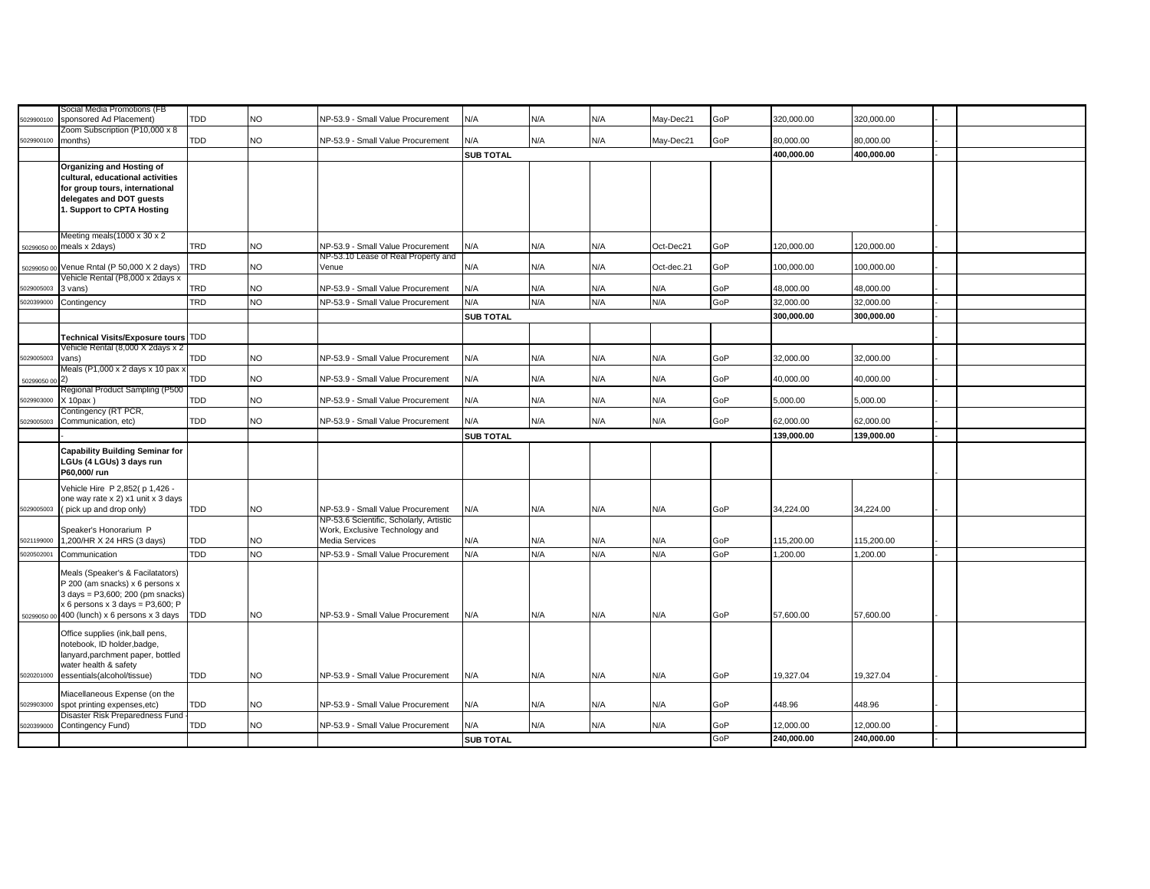|             | Social Media Promotions (FB                                                                                                                                                                     |     |           |                                                                                             |                  |     |     |            |     |            |            |  |
|-------------|-------------------------------------------------------------------------------------------------------------------------------------------------------------------------------------------------|-----|-----------|---------------------------------------------------------------------------------------------|------------------|-----|-----|------------|-----|------------|------------|--|
| 5029900100  | sponsored Ad Placement)<br>Zoom Subscription (P10,000 x 8                                                                                                                                       | TDD | NO.       | NP-53.9 - Small Value Procurement                                                           | N/A              | N/A | N/A | May-Dec21  | GoP | 320,000.00 | 320,000.00 |  |
| 5029900100  | months)                                                                                                                                                                                         | TDD | NO        | NP-53.9 - Small Value Procurement                                                           | N/A              | N/A | N/A | May-Dec21  | GoP | 80,000.00  | 80,000.00  |  |
|             |                                                                                                                                                                                                 |     |           |                                                                                             | <b>SUB TOTAL</b> |     |     |            |     | 400,000.00 | 400,000.00 |  |
|             | Organizing and Hosting of<br>cultural, educational activities<br>for group tours, international<br>delegates and DOT guests<br>1. Support to CPTA Hosting                                       |     |           |                                                                                             |                  |     |     |            |     |            |            |  |
|             | Meeting meals(1000 x 30 x 2<br>50299050 00 meals x 2days)                                                                                                                                       | TRD | NO.       | NP-53.9 - Small Value Procurement                                                           | N/A              | N/A | N/A | Oct-Dec21  | GoP | 120,000.00 | 120,000.00 |  |
|             | 50299050 00 Venue Rntal (P 50,000 X 2 days)                                                                                                                                                     | TRD | NO        | NP-53.10 Lease of Real Property and<br>Venue                                                | N/A              | N/A | N/A | Oct-dec.21 | GoP | 100,000.00 | 100,000.00 |  |
| 6029005003  | Vehicle Rental (P8,000 x 2days x<br>3 vans)                                                                                                                                                     | TRD | NO        | NP-53.9 - Small Value Procurement                                                           | N/A              | N/A | N/A | N/A        | GoP | 48,000.00  | 48,000.00  |  |
| 5020399000  | Contingency                                                                                                                                                                                     | TRD | NO        | NP-53.9 - Small Value Procurement                                                           | N/A              | N/A | N/A | N/A        | GoP | 32,000.00  | 32,000.00  |  |
|             |                                                                                                                                                                                                 |     |           |                                                                                             | <b>SUB TOTAL</b> |     |     |            |     | 300,000.00 | 300,000.00 |  |
|             | Technical Visits/Exposure tours TDD                                                                                                                                                             |     |           |                                                                                             |                  |     |     |            |     |            |            |  |
| 5029005003  | Vehicle Rental (8,000 X 2days x 2<br>vans)                                                                                                                                                      | TDD | NO        | NP-53.9 - Small Value Procurement                                                           | N/A              | N/A | N/A | N/A        | GoP | 32,000.00  | 32,000.00  |  |
| 50299050 00 | Meals (P1,000 x 2 days x 10 pax x<br>(2)                                                                                                                                                        | TDD | NO        | NP-53.9 - Small Value Procurement                                                           | N/A              | N/A | N/A | N/A        | GoP | 40,000.00  | 40,000.00  |  |
| 5029903000  | Regional Product Sampling (P500<br>$X$ 10pax)                                                                                                                                                   | TDD | NO        | NP-53.9 - Small Value Procurement                                                           | N/A              | N/A | N/A | N/A        | GoP | 5,000.00   | 5,000.00   |  |
| 5029005003  | Contingency (RT PCR,<br>Communication, etc)                                                                                                                                                     | TDD | <b>NO</b> | NP-53.9 - Small Value Procurement                                                           | N/A              | N/A | N/A | N/A        | GoP | 62,000.00  | 62,000.00  |  |
|             |                                                                                                                                                                                                 |     |           |                                                                                             | <b>SUB TOTAL</b> |     |     |            |     | 139,000.00 | 139,000.00 |  |
|             | <b>Capability Building Seminar for</b><br>LGUs (4 LGUs) 3 days run<br>P60,000/run                                                                                                               |     |           |                                                                                             |                  |     |     |            |     |            |            |  |
| 5029005003  | Vehicle Hire P 2,852(p 1,426 -<br>one way rate x 2) x1 unit x 3 days<br>(pick up and drop only)                                                                                                 | TDD | <b>NO</b> | NP-53.9 - Small Value Procurement                                                           | N/A              | N/A | N/A | N/A        | GoP | 34,224.00  | 34,224.00  |  |
| 5021199000  | Speaker's Honorarium P<br>1,200/HR X 24 HRS (3 days)                                                                                                                                            | TDD | NO        | NP-53.6 Scientific, Scholarly, Artistic<br>Work, Exclusive Technology and<br>Media Services | N/A              | N/A | N/A | N/A        | GoP | 115,200.00 | 115,200.00 |  |
| 5020502001  | Communication                                                                                                                                                                                   | TDD | NO        | NP-53.9 - Small Value Procurement                                                           | N/A              | N/A | N/A | N/A        | GoP | 1,200.00   | 1,200.00   |  |
|             | Meals (Speaker's & Facilatators)<br>P 200 (am snacks) x 6 persons x<br>3 days = P3,600; 200 (pm snacks)<br>$x 6$ persons $x 3$ days = P3,600; P<br>50299050 00 400 (lunch) x 6 persons x 3 days | TDD | NO.       | NP-53.9 - Small Value Procurement                                                           | N/A              | N/A | N/A | N/A        | GoP | 57,600.00  | 57,600.00  |  |
| 5020201000  | Office supplies (ink,ball pens,<br>notebook, ID holder, badge,<br>lanyard, parchment paper, bottled<br>water health & safety<br>essentials(alcohol/tissue)                                      | TDD | NO.       | NP-53.9 - Small Value Procurement                                                           | N/A              | N/A | N/A | N/A        | GoP | 19,327.04  | 19,327.04  |  |
|             | Miacellaneous Expense (on the                                                                                                                                                                   |     |           |                                                                                             |                  |     |     |            |     |            |            |  |
| 5029903000  | spot printing expenses, etc)                                                                                                                                                                    | TDD | <b>NO</b> | NP-53.9 - Small Value Procurement                                                           | N/A              | N/A | N/A | N/A        | GoP | 448.96     | 448.96     |  |
| 5020399000  | Disaster Risk Preparedness Fund<br>Contingency Fund)                                                                                                                                            | TDD | <b>NO</b> | NP-53.9 - Small Value Procurement                                                           | N/A              | N/A | N/A | N/A        | GoP | 12,000.00  | 12,000.00  |  |
|             |                                                                                                                                                                                                 |     |           |                                                                                             | <b>SUB TOTAL</b> |     |     |            | GoP | 240,000.00 | 240,000.00 |  |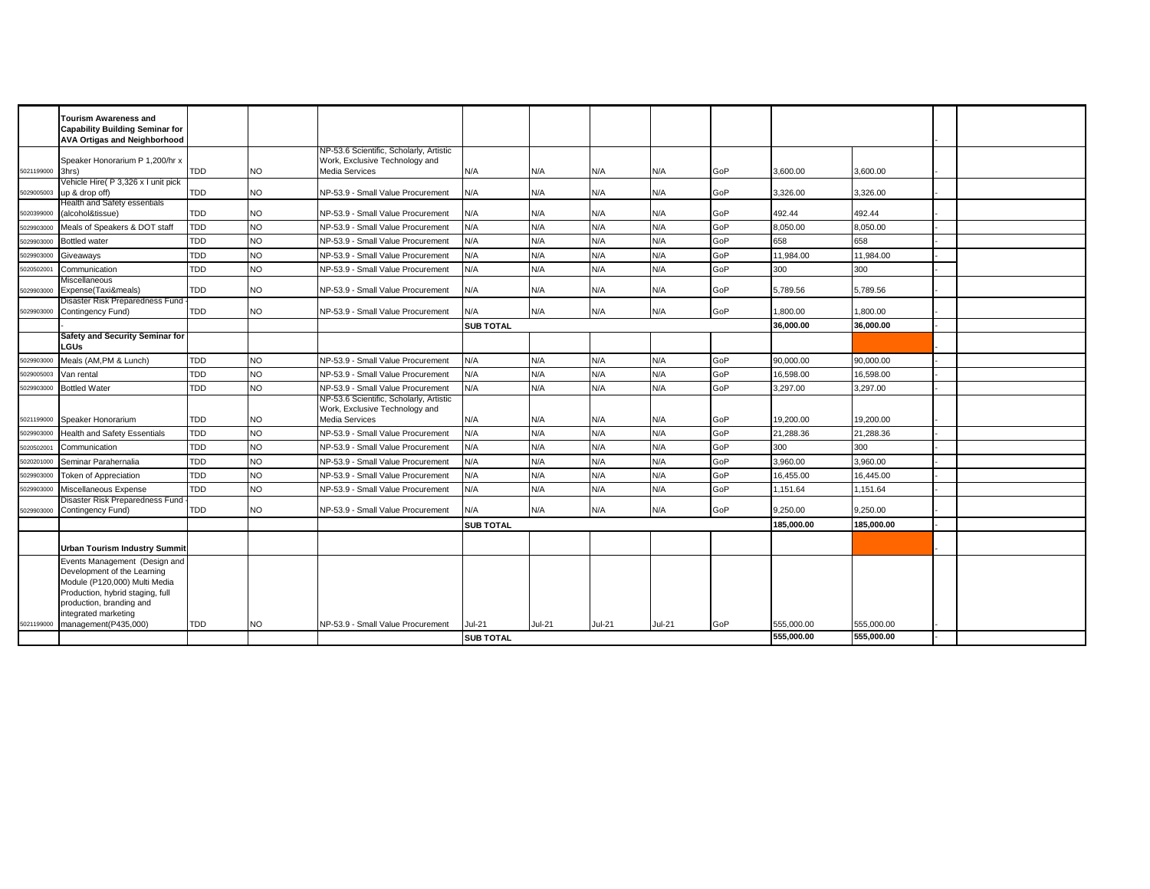|            | <b>Tourism Awareness and</b>                                                  |            |           |                                                                           |                  |        |        |          |     |            |            |  |
|------------|-------------------------------------------------------------------------------|------------|-----------|---------------------------------------------------------------------------|------------------|--------|--------|----------|-----|------------|------------|--|
|            | <b>Capability Building Seminar for</b><br><b>AVA Ortigas and Neighborhood</b> |            |           |                                                                           |                  |        |        |          |     |            |            |  |
|            | Speaker Honorarium P 1,200/hr x                                               |            |           | NP-53.6 Scientific, Scholarly, Artistic<br>Work, Exclusive Technology and |                  |        |        |          |     |            |            |  |
| 5021199000 | 3hrs)                                                                         | TDD        | NO        | <b>Media Services</b>                                                     | N/A              | N/A    | N/A    | N/A      | GoP | 3,600.00   | 3,600.00   |  |
| 6029005003 | Vehicle Hire(P 3,326 x I unit pick<br>up & drop off)                          | TDD        | NO        | NP-53.9 - Small Value Procurement                                         | N/A              | N/A    | N/A    | N/A      | GoP | 3,326.00   | 3,326.00   |  |
| 5020399000 | Health and Safety essentials<br>alcohol&tissue)                               | <b>TDD</b> | NO.       | NP-53.9 - Small Value Procurement                                         | N/A              | N/A    | N/A    | N/A      | GoP | 492.44     | 492.44     |  |
| 5029903000 | Meals of Speakers & DOT staff                                                 | TDD        | <b>NO</b> | NP-53.9 - Small Value Procurement                                         | N/A              | N/A    | N/A    | N/A      | GoP | 8.050.00   | 8,050.00   |  |
| 5029903000 | <b>Bottled water</b>                                                          | <b>TDD</b> | <b>NO</b> | NP-53.9 - Small Value Procurement                                         | N/A              | N/A    | N/A    | N/A      | GoP | 658        | 658        |  |
| 6029903000 | Giveaways                                                                     | <b>TDD</b> | <b>NO</b> | NP-53.9 - Small Value Procurement                                         | N/A              | N/A    | N/A    | N/A      | GoP | 11.984.00  | 11.984.00  |  |
| 02050200   | Communication                                                                 | <b>TDD</b> | <b>NO</b> | NP-53.9 - Small Value Procurement                                         | N/A              | N/A    | N/A    | N/A      | GoP | 300        | 300        |  |
|            | Miscellaneous                                                                 |            |           |                                                                           |                  |        |        |          |     |            |            |  |
| 5029903000 | Expense(Taxi&meals)<br>Disaster Risk Preparedness Fund                        | <b>TDD</b> | NO.       | NP-53.9 - Small Value Procurement                                         | N/A              | N/A    | N/A    | N/A      | GoP | 5.789.56   | 5,789.56   |  |
| 5029903000 | Contingency Fund)                                                             | <b>TDD</b> | NO.       | NP-53.9 - Small Value Procurement                                         | N/A              | N/A    | N/A    | N/A      | GoP | 1.800.00   | 1.800.00   |  |
|            |                                                                               |            |           |                                                                           | <b>SUB TOTAL</b> |        |        |          |     | 36,000.00  | 36.000.00  |  |
|            | <b>Safety and Security Seminar for</b><br>LGUs                                |            |           |                                                                           |                  |        |        |          |     |            |            |  |
| 502990300  | Meals (AM,PM & Lunch)                                                         | <b>TDD</b> | <b>NO</b> | NP-53.9 - Small Value Procurement                                         | N/A              | N/A    | N/A    | N/A      | GoP | 90.000.00  | 90.000.00  |  |
| 602900500  | Van rental                                                                    | <b>TDD</b> | <b>NO</b> | NP-53.9 - Small Value Procurement                                         | N/A              | N/A    | N/A    | N/A      | GoP | 16,598.00  | 16,598.00  |  |
| 5029903000 | <b>Bottled Water</b>                                                          | <b>TDD</b> | <b>NO</b> | NP-53.9 - Small Value Procurement                                         | N/A              | N/A    | N/A    | N/A      | GoP | 3,297.00   | 3,297.00   |  |
|            |                                                                               |            |           | NP-53.6 Scientific, Scholarly, Artistic                                   |                  |        |        |          |     |            |            |  |
| 5021199000 | Speaker Honorarium                                                            | <b>TDD</b> | NO.       | Work, Exclusive Technology and<br>Media Services                          | N/A              | N/A    | N/A    | N/A      | GoP | 19.200.00  | 19.200.00  |  |
| 502990300  | <b>Health and Safety Essentials</b>                                           | TDD        | <b>NO</b> | NP-53.9 - Small Value Procurement                                         | N/A              | N/A    | N/A    | N/A      | GoP | 21.288.36  | 21.288.36  |  |
| 602050200  | Communication                                                                 | <b>TDD</b> | <b>NO</b> | NP-53.9 - Small Value Procurement                                         | N/A              | N/A    | N/A    | N/A      | GoP | 300        | 300        |  |
| 6020201000 | Seminar Parahernalia                                                          | <b>TDD</b> | <b>NO</b> | NP-53.9 - Small Value Procurement                                         | N/A              | N/A    | N/A    | N/A      | GoP | 3.960.00   | 3.960.00   |  |
| 6029903000 | <b>Token of Appreciation</b>                                                  | <b>TDD</b> | <b>NO</b> | NP-53.9 - Small Value Procurement                                         | N/A              | N/A    | N/A    | N/A      | GoP | 16.455.00  | 16.445.00  |  |
| 6029903000 | Miscellaneous Expense                                                         | <b>TDD</b> | <b>NO</b> | NP-53.9 - Small Value Procurement                                         | N/A              | N/A    | N/A    | N/A      | GoP | 1.151.64   | 1,151.64   |  |
|            | Disaster Risk Preparedness Fund                                               |            | NO.       |                                                                           |                  | N/A    | N/A    | N/A      | GoP |            |            |  |
| 029903000  | Contingency Fund)                                                             | <b>TDD</b> |           | NP-53.9 - Small Value Procurement                                         | N/A              |        |        |          |     | 9.250.00   | 9.250.00   |  |
|            |                                                                               |            |           |                                                                           | <b>SUB TOTAL</b> |        |        |          |     | 185,000.00 | 185.000.00 |  |
|            | <b>Urban Tourism Industry Summit</b>                                          |            |           |                                                                           |                  |        |        |          |     |            |            |  |
|            | Events Management (Design and<br>Development of the Learning                  |            |           |                                                                           |                  |        |        |          |     |            |            |  |
|            | Module (P120,000) Multi Media                                                 |            |           |                                                                           |                  |        |        |          |     |            |            |  |
|            | Production, hybrid staging, full                                              |            |           |                                                                           |                  |        |        |          |     |            |            |  |
|            | production, branding and                                                      |            |           |                                                                           |                  |        |        |          |     |            |            |  |
| 5021199000 | integrated marketing<br>management(P435,000)                                  | TDD        | <b>NO</b> | NP-53.9 - Small Value Procurement                                         | Jul-21           | Jul-21 | Jul-21 | $Jul-21$ | GoP | 555,000.00 | 555,000.00 |  |
|            |                                                                               |            |           |                                                                           | <b>SUB TOTAL</b> |        |        |          |     | 555,000.00 | 555,000.00 |  |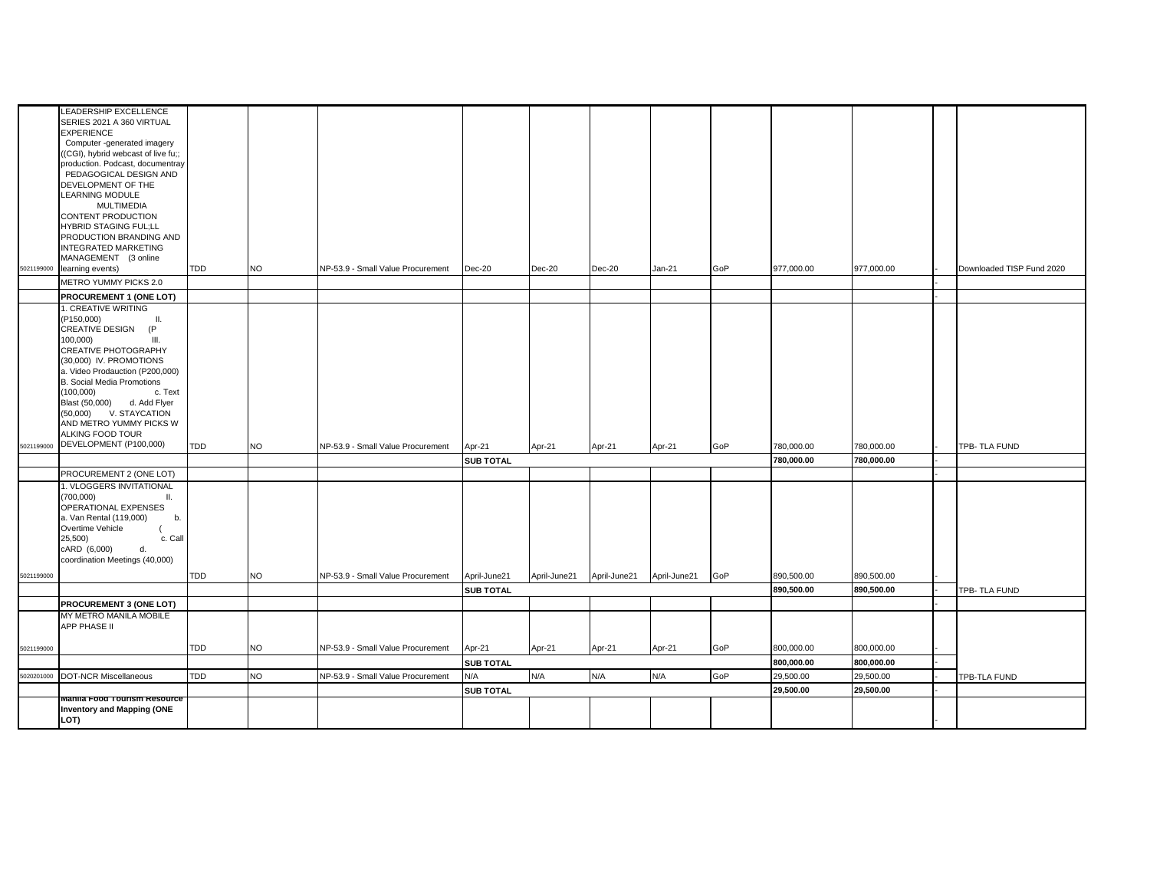|            | LEADERSHIP EXCELLENCE<br>SERIES 2021 A 360 VIRTUAL<br><b>EXPERIENCE</b><br>Computer -generated imagery<br>((CGI), hybrid webcast of live fu;;<br>production. Podcast, documentray<br>PEDAGOGICAL DESIGN AND<br>DEVELOPMENT OF THE<br>LEARNING MODULE<br><b>MULTIMEDIA</b><br>CONTENT PRODUCTION<br><b>HYBRID STAGING FUL;LL</b><br>PRODUCTION BRANDING AND<br><b>INTEGRATED MARKETING</b> |            |           |                                   |                  |              |              |              |     |            |            |                           |
|------------|-------------------------------------------------------------------------------------------------------------------------------------------------------------------------------------------------------------------------------------------------------------------------------------------------------------------------------------------------------------------------------------------|------------|-----------|-----------------------------------|------------------|--------------|--------------|--------------|-----|------------|------------|---------------------------|
| 5021199000 | MANAGEMENT (3 online<br>learning events)                                                                                                                                                                                                                                                                                                                                                  | <b>TDD</b> | NO        | NP-53.9 - Small Value Procurement | Dec-20           | $Dec-20$     | Dec-20       | Jan-21       | GoP | 977,000.00 | 977,000.00 | Downloaded TISP Fund 2020 |
|            | METRO YUMMY PICKS 2.0                                                                                                                                                                                                                                                                                                                                                                     |            |           |                                   |                  |              |              |              |     |            |            |                           |
|            | PROCUREMENT 1 (ONE LOT)                                                                                                                                                                                                                                                                                                                                                                   |            |           |                                   |                  |              |              |              |     |            |            |                           |
| 5021199000 | 1. CREATIVE WRITING<br>(P150,000)<br>Ш.<br>CREATIVE DESIGN (P<br>100,000)<br>III.<br>CREATIVE PHOTOGRAPHY<br>(30,000) IV. PROMOTIONS<br>a. Video Prodauction (P200,000)<br>B. Social Media Promotions<br>(100,000)<br>c. Text<br>Blast (50,000) d. Add Flyer<br>(50,000) V. STAYCATION<br>AND METRO YUMMY PICKS W<br>ALKING FOOD TOUR<br>DEVELOPMENT (P100,000)                           | <b>TDD</b> | NO.       | NP-53.9 - Small Value Procurement | Apr-21           | Apr-21       | Apr-21       | Apr-21       | GoP | 780,000.00 | 780,000.00 | TPB-TLA FUND              |
|            |                                                                                                                                                                                                                                                                                                                                                                                           |            |           |                                   | <b>SUB TOTAL</b> |              |              |              |     | 780,000.00 | 780,000.00 |                           |
|            | PROCUREMENT 2 (ONE LOT)<br>1. VLOGGERS INVITATIONAL                                                                                                                                                                                                                                                                                                                                       |            |           |                                   |                  |              |              |              |     |            |            |                           |
| 5021199000 | (700,000)<br>Ш.<br>OPERATIONAL EXPENSES<br>a. Van Rental (119,000)<br>b.<br>Overtime Vehicle<br>25,500)<br>c. Call<br>cARD (6,000)<br>d.<br>coordination Meetings (40,000)                                                                                                                                                                                                                | TDD        | NO        | NP-53.9 - Small Value Procurement | April-June21     | April-June21 |              | April-June21 | GoP | 890,500.00 | 890,500.00 |                           |
|            |                                                                                                                                                                                                                                                                                                                                                                                           |            |           |                                   |                  |              | April-June21 |              |     |            |            |                           |
|            | PROCUREMENT 3 (ONE LOT)                                                                                                                                                                                                                                                                                                                                                                   |            |           |                                   | <b>SUB TOTAL</b> |              |              |              |     | 890,500.00 | 890,500.00 | TPB- TLA FUND             |
|            | MY METRO MANILA MOBILE                                                                                                                                                                                                                                                                                                                                                                    |            |           |                                   |                  |              |              |              |     |            |            |                           |
|            | APP PHASE II                                                                                                                                                                                                                                                                                                                                                                              |            |           |                                   |                  |              |              |              |     |            |            |                           |
| 5021199000 |                                                                                                                                                                                                                                                                                                                                                                                           | TDD        | NO.       | NP-53.9 - Small Value Procurement | Apr-21           | Apr-21       | Apr-21       | Apr-21       | GoP | 800,000.00 | 800,000.00 |                           |
|            |                                                                                                                                                                                                                                                                                                                                                                                           |            |           |                                   | <b>SUB TOTAL</b> |              |              |              |     | 800,000.00 | 800,000.00 |                           |
| 5020201000 | <b>DOT-NCR Miscellaneous</b>                                                                                                                                                                                                                                                                                                                                                              | TDD        | <b>NO</b> | NP-53.9 - Small Value Procurement | N/A              | N/A          | N/A          | N/A          | GoP | 29,500.00  | 29,500.00  | TPB-TLA FUND              |
|            |                                                                                                                                                                                                                                                                                                                                                                                           |            |           |                                   | <b>SUB TOTAL</b> |              |              |              |     | 29,500.00  | 29,500.00  |                           |
|            | vianila Food Tourism Resource<br><b>Inventory and Mapping (ONE</b><br>LOT)                                                                                                                                                                                                                                                                                                                |            |           |                                   |                  |              |              |              |     |            |            |                           |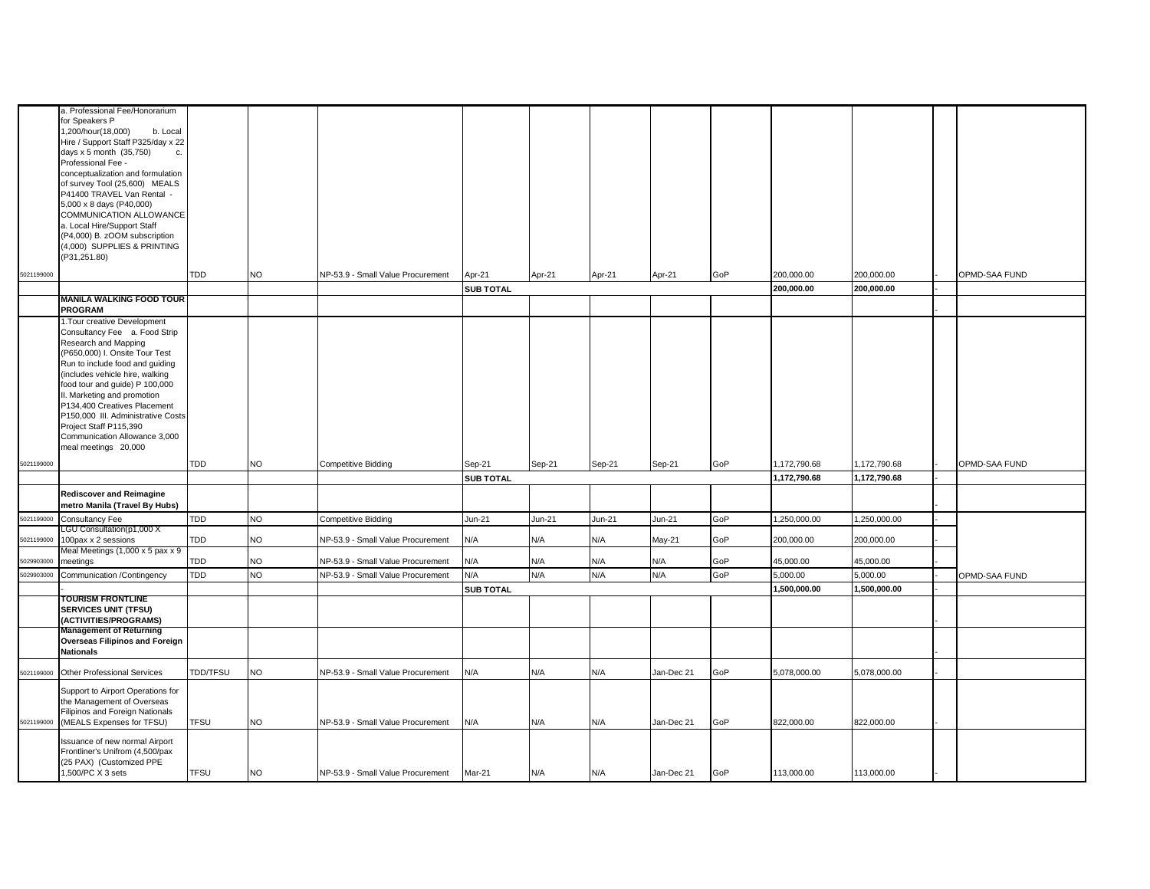|            | a. Professional Fee/Honorarium                                     |             |           |                                   |                  |        |        |            |     |              |              |               |
|------------|--------------------------------------------------------------------|-------------|-----------|-----------------------------------|------------------|--------|--------|------------|-----|--------------|--------------|---------------|
|            | for Speakers P                                                     |             |           |                                   |                  |        |        |            |     |              |              |               |
|            | 1,200/hour(18,000)<br>b. Local                                     |             |           |                                   |                  |        |        |            |     |              |              |               |
|            | Hire / Support Staff P325/day x 22                                 |             |           |                                   |                  |        |        |            |     |              |              |               |
|            | days x 5 month (35,750)<br>c.                                      |             |           |                                   |                  |        |        |            |     |              |              |               |
|            | Professional Fee -                                                 |             |           |                                   |                  |        |        |            |     |              |              |               |
|            | conceptualization and formulation                                  |             |           |                                   |                  |        |        |            |     |              |              |               |
|            | of survey Tool (25,600) MEALS                                      |             |           |                                   |                  |        |        |            |     |              |              |               |
|            | P41400 TRAVEL Van Rental -<br>5,000 x 8 days (P40,000)             |             |           |                                   |                  |        |        |            |     |              |              |               |
|            | COMMUNICATION ALLOWANCE                                            |             |           |                                   |                  |        |        |            |     |              |              |               |
|            | a. Local Hire/Support Staff                                        |             |           |                                   |                  |        |        |            |     |              |              |               |
|            | (P4,000) B. zOOM subscription                                      |             |           |                                   |                  |        |        |            |     |              |              |               |
|            | 4,000) SUPPLIES & PRINTING                                         |             |           |                                   |                  |        |        |            |     |              |              |               |
|            | (P31,251.80)                                                       |             |           |                                   |                  |        |        |            |     |              |              |               |
| 5021199000 |                                                                    | TDD         | <b>NO</b> | NP-53.9 - Small Value Procurement |                  |        |        |            | GoP | 200,000.00   | 200,000.00   | OPMD-SAA FUND |
|            |                                                                    |             |           |                                   | Apr-21           | Apr-21 | Apr-21 | Apr-21     |     |              |              |               |
|            | <b>MANILA WALKING FOOD TOUR</b>                                    |             |           |                                   | <b>SUB TOTAL</b> |        |        |            |     | 200,000.00   | 200,000.00   |               |
|            | PROGRAM                                                            |             |           |                                   |                  |        |        |            |     |              |              |               |
|            | 1. Tour creative Development                                       |             |           |                                   |                  |        |        |            |     |              |              |               |
|            | Consultancy Fee a. Food Strip                                      |             |           |                                   |                  |        |        |            |     |              |              |               |
|            | Research and Mapping                                               |             |           |                                   |                  |        |        |            |     |              |              |               |
|            | (P650,000) I. Onsite Tour Test                                     |             |           |                                   |                  |        |        |            |     |              |              |               |
|            | Run to include food and guiding                                    |             |           |                                   |                  |        |        |            |     |              |              |               |
|            | includes vehicle hire, walking                                     |             |           |                                   |                  |        |        |            |     |              |              |               |
|            | food tour and guide) P 100,000                                     |             |           |                                   |                  |        |        |            |     |              |              |               |
|            | II. Marketing and promotion                                        |             |           |                                   |                  |        |        |            |     |              |              |               |
|            | P134,400 Creatives Placement<br>P150,000 III. Administrative Costs |             |           |                                   |                  |        |        |            |     |              |              |               |
|            | Project Staff P115,390                                             |             |           |                                   |                  |        |        |            |     |              |              |               |
|            | Communication Allowance 3,000                                      |             |           |                                   |                  |        |        |            |     |              |              |               |
|            | meal meetings 20,000                                               |             |           |                                   |                  |        |        |            |     |              |              |               |
|            |                                                                    | <b>TDD</b>  |           |                                   |                  |        |        |            |     |              |              |               |
| 5021199000 |                                                                    |             | <b>NO</b> | <b>Competitive Bidding</b>        | Sep-21           | Sep-21 | Sep-21 | Sep-21     | GoP | 1,172,790.68 | 1,172,790.68 | OPMD-SAA FUND |
|            |                                                                    |             |           |                                   | <b>SUB TOTAL</b> |        |        |            |     | 1,172,790.68 | 1,172,790.68 |               |
|            | <b>Rediscover and Reimagine</b>                                    |             |           |                                   |                  |        |        |            |     |              |              |               |
|            | metro Manila (Travel By Hubs)                                      |             |           |                                   |                  |        |        |            |     |              |              |               |
| 5021199000 | Consultancy Fee                                                    | <b>TDD</b>  | <b>NO</b> | <b>Competitive Bidding</b>        | $Jun-21$         | Jun-21 | Jun-21 | Jun-21     | GoP | 1,250,000.00 | 1,250,000.00 |               |
|            | LGU Consultation(p1,000 X                                          |             |           |                                   |                  |        |        |            |     |              |              |               |
| 5021199000 | 100pax x 2 sessions                                                | TDD         | <b>NO</b> | NP-53.9 - Small Value Procurement | N/A              | N/A    | N/A    | May-21     | GoP | 200,000.00   | 200,000.00   |               |
| 5029903000 | Meal Meetings (1,000 x 5 pax x 9<br>meetings                       | TDD         | <b>NO</b> | NP-53.9 - Small Value Procurement | N/A              | N/A    | N/A    | N/A        | GoP | 45,000.00    | 45,000.00    |               |
|            |                                                                    |             |           |                                   |                  |        |        |            |     |              |              |               |
| 5029903000 | Communication /Contingency                                         | TDD         | <b>NO</b> | NP-53.9 - Small Value Procurement | N/A              | N/A    | N/A    | N/A        | GoP | 5,000.00     | 5,000.00     | OPMD-SAA FUND |
|            | <b>TOURISM FRONTLINE</b>                                           |             |           |                                   | <b>SUB TOTAL</b> |        |        |            |     | 1,500,000.00 | 1,500,000.00 |               |
|            | <b>SERVICES UNIT (TFSU)</b>                                        |             |           |                                   |                  |        |        |            |     |              |              |               |
|            | (ACTIVITIES/PROGRAMS)                                              |             |           |                                   |                  |        |        |            |     |              |              |               |
|            | <b>Management of Returning</b>                                     |             |           |                                   |                  |        |        |            |     |              |              |               |
|            | <b>Overseas Filipinos and Foreign</b>                              |             |           |                                   |                  |        |        |            |     |              |              |               |
|            | <b>Nationals</b>                                                   |             |           |                                   |                  |        |        |            |     |              |              |               |
|            |                                                                    |             |           |                                   |                  |        |        |            |     |              |              |               |
| 5021199000 | Other Professional Services                                        | TDD/TFSU    | <b>NO</b> | NP-53.9 - Small Value Procurement | N/A              | N/A    | N/A    | Jan-Dec 21 | GoP | 5,078,000.00 | 5,078,000.00 |               |
|            | Support to Airport Operations for                                  |             |           |                                   |                  |        |        |            |     |              |              |               |
|            | the Management of Overseas                                         |             |           |                                   |                  |        |        |            |     |              |              |               |
|            | Filipinos and Foreign Nationals                                    |             |           |                                   |                  |        |        |            |     |              |              |               |
| 5021199000 | (MEALS Expenses for TFSU)                                          | <b>TFSU</b> | <b>NO</b> | NP-53.9 - Small Value Procurement | N/A              | N/A    | N/A    | Jan-Dec 21 | GoP | 822,000.00   | 822,000.00   |               |
|            | Issuance of new normal Airport                                     |             |           |                                   |                  |        |        |            |     |              |              |               |
|            | Frontliner's Unifrom (4,500/pax                                    |             |           |                                   |                  |        |        |            |     |              |              |               |
|            | (25 PAX) (Customized PPE                                           |             |           |                                   |                  |        |        |            |     |              |              |               |
|            | 1,500/PC X 3 sets                                                  | <b>TFSU</b> | <b>NO</b> | NP-53.9 - Small Value Procurement | Mar-21           | N/A    | N/A    | Jan-Dec 21 | GoP | 113,000.00   | 113,000.00   |               |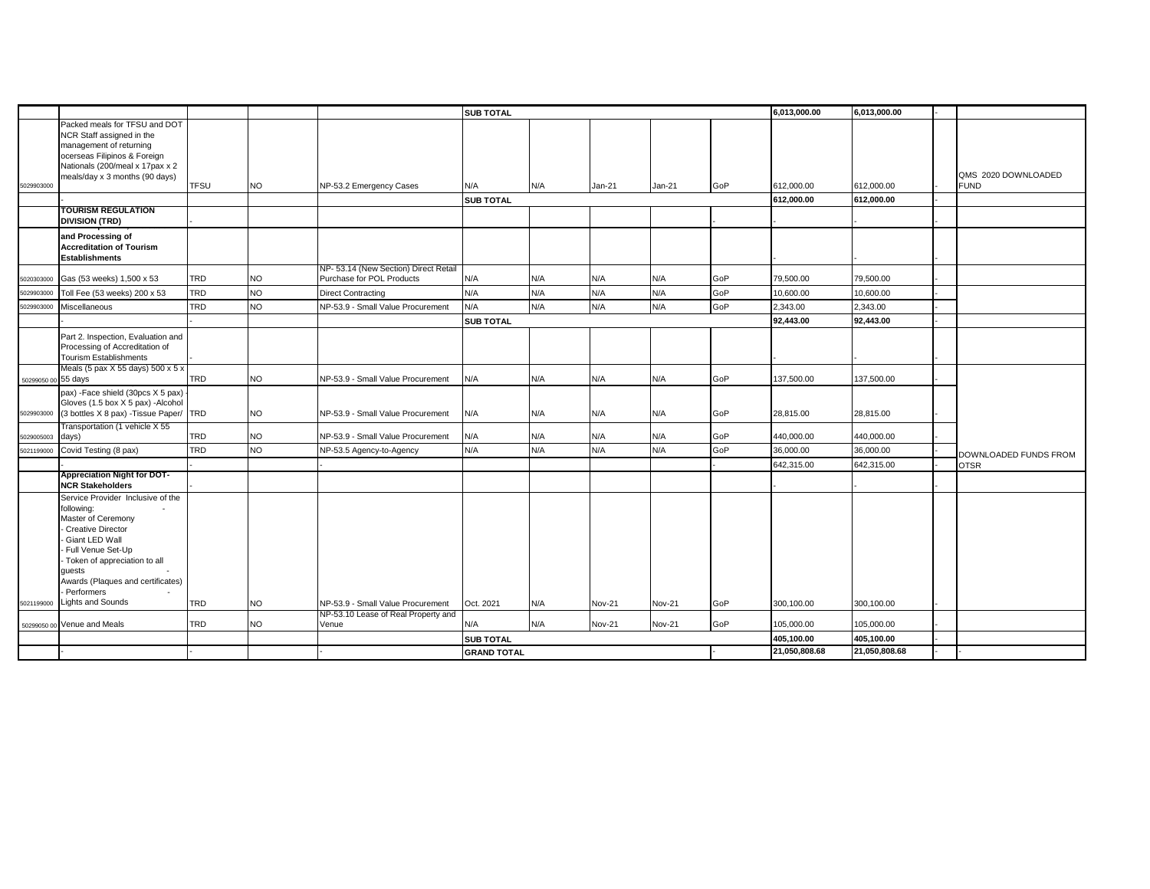|                     |                                                                                                                                                                                                                                  |             |           |                                                                          | <b>SUB TOTAL</b>   |     |               |               |     | 6,013,000.00  | 6,013,000.00  |                       |
|---------------------|----------------------------------------------------------------------------------------------------------------------------------------------------------------------------------------------------------------------------------|-------------|-----------|--------------------------------------------------------------------------|--------------------|-----|---------------|---------------|-----|---------------|---------------|-----------------------|
|                     | Packed meals for TFSU and DOT<br>NCR Staff assigned in the<br>management of returning<br>ocerseas Filipinos & Foreign<br>Nationals (200/meal x 17pax x 2                                                                         |             |           |                                                                          |                    |     |               |               |     |               |               | QMS 2020 DOWNLOADED   |
| 5029903000          | meals/day x 3 months (90 days)                                                                                                                                                                                                   | <b>TFSU</b> | NO        | NP-53.2 Emergency Cases                                                  | N/A                | N/A | Jan-21        | Jan-21        | GoP | 612.000.00    | 612,000.00    | <b>FUND</b>           |
|                     |                                                                                                                                                                                                                                  |             |           |                                                                          | <b>SUB TOTAL</b>   |     |               |               |     | 612,000.00    | 612,000.00    |                       |
|                     | <b>TOURISM REGULATION</b><br><b>DIVISION (TRD)</b>                                                                                                                                                                               |             |           |                                                                          |                    |     |               |               |     |               |               |                       |
|                     | and Processing of<br><b>Accreditation of Tourism</b><br><b>Establishments</b>                                                                                                                                                    |             |           |                                                                          |                    |     |               |               |     |               |               |                       |
| 5020303000          | Gas (53 weeks) 1,500 x 53                                                                                                                                                                                                        | <b>TRD</b>  | NO        | NP- 53.14 (New Section) Direct Retail<br>Purchase for POL Products       | N/A                | N/A | N/A           | N/A           | GoP | 79,500.00     | 79,500.00     |                       |
| 502990300           | Toll Fee (53 weeks) 200 x 53                                                                                                                                                                                                     | <b>TRD</b>  | NO.       | <b>Direct Contracting</b>                                                | N/A                | N/A | N/A           | N/A           | GoP | 10,600.00     | 10,600.00     |                       |
| 5029903000          | Miscellaneous                                                                                                                                                                                                                    | <b>TRD</b>  | <b>NO</b> | NP-53.9 - Small Value Procurement                                        | N/A                | N/A | N/A           | N/A           | GoP | 2,343.00      | 2,343.00      |                       |
|                     |                                                                                                                                                                                                                                  |             |           |                                                                          | <b>SUB TOTAL</b>   |     |               |               |     | 92,443.00     | 92.443.00     |                       |
|                     | Part 2. Inspection, Evaluation and<br>Processing of Accreditation of<br><b>Tourism Establishments</b>                                                                                                                            |             |           |                                                                          |                    |     |               |               |     |               |               |                       |
| 50299050 00 55 days | Meals (5 pax X 55 days) 500 x 5 x                                                                                                                                                                                                | <b>TRD</b>  | NO        | NP-53.9 - Small Value Procurement                                        | N/A                | N/A | N/A           | N/A           | GoP | 137,500.00    | 137,500.00    |                       |
| 5029903000          | pax) - Face shield (30pcs X 5 pax)<br>Gloves (1.5 box X 5 pax) -Alcohol<br>(3 bottles X 8 pax) - Tissue Paper/ TRD                                                                                                               |             | NO        | NP-53.9 - Small Value Procurement                                        | N/A                | N/A | N/A           | N/A           | GoP | 28,815.00     | 28,815.00     |                       |
| 5029005003          | Transportation (1 vehicle X 55<br>days)                                                                                                                                                                                          | <b>TRD</b>  | NO        | NP-53.9 - Small Value Procurement                                        | N/A                | N/A | N/A           | N/A           | GoP | 440,000.00    | 440,000.00    |                       |
| 5021199000          | Covid Testing (8 pax)                                                                                                                                                                                                            | <b>TRD</b>  | NO.       | NP-53.5 Agency-to-Agency                                                 | N/A                | N/A | N/A           | N/A           | GoP | 36,000.00     | 36,000.00     | DOWNLOADED FUNDS FROM |
|                     |                                                                                                                                                                                                                                  |             |           |                                                                          |                    |     |               |               |     | 642,315.00    | 642,315.00    | <b>OTSR</b>           |
|                     | <b>Appreciation Night for DOT-</b><br><b>NCR Stakeholders</b>                                                                                                                                                                    |             |           |                                                                          |                    |     |               |               |     |               |               |                       |
|                     | Service Provider Inclusive of the<br>following:<br>Master of Ceremony<br>Creative Director<br>Giant LED Wall<br>Full Venue Set-Up<br>- Token of appreciation to all<br>quests<br>Awards (Plaques and certificates)<br>Performers |             |           |                                                                          |                    |     |               |               |     |               |               |                       |
| 5021199000          | <b>Lights and Sounds</b>                                                                                                                                                                                                         | <b>TRD</b>  | NO        | NP-53.9 - Small Value Procurement<br>NP-53.10 Lease of Real Property and | Oct. 2021          | N/A | <b>Nov-21</b> | <b>Nov-21</b> | GoP | 300.100.00    | 300.100.00    |                       |
|                     | 50299050 00 Venue and Meals                                                                                                                                                                                                      | <b>TRD</b>  | NO        | Venue                                                                    | N/A                | N/A | <b>Nov-21</b> | <b>Nov-21</b> | GoP | 105,000.00    | 105,000.00    |                       |
|                     |                                                                                                                                                                                                                                  |             |           |                                                                          | <b>SUB TOTAL</b>   |     |               |               |     | 405,100.00    | 405,100.00    |                       |
|                     |                                                                                                                                                                                                                                  |             |           |                                                                          | <b>GRAND TOTAL</b> |     |               |               |     | 21,050,808.68 | 21,050,808.68 |                       |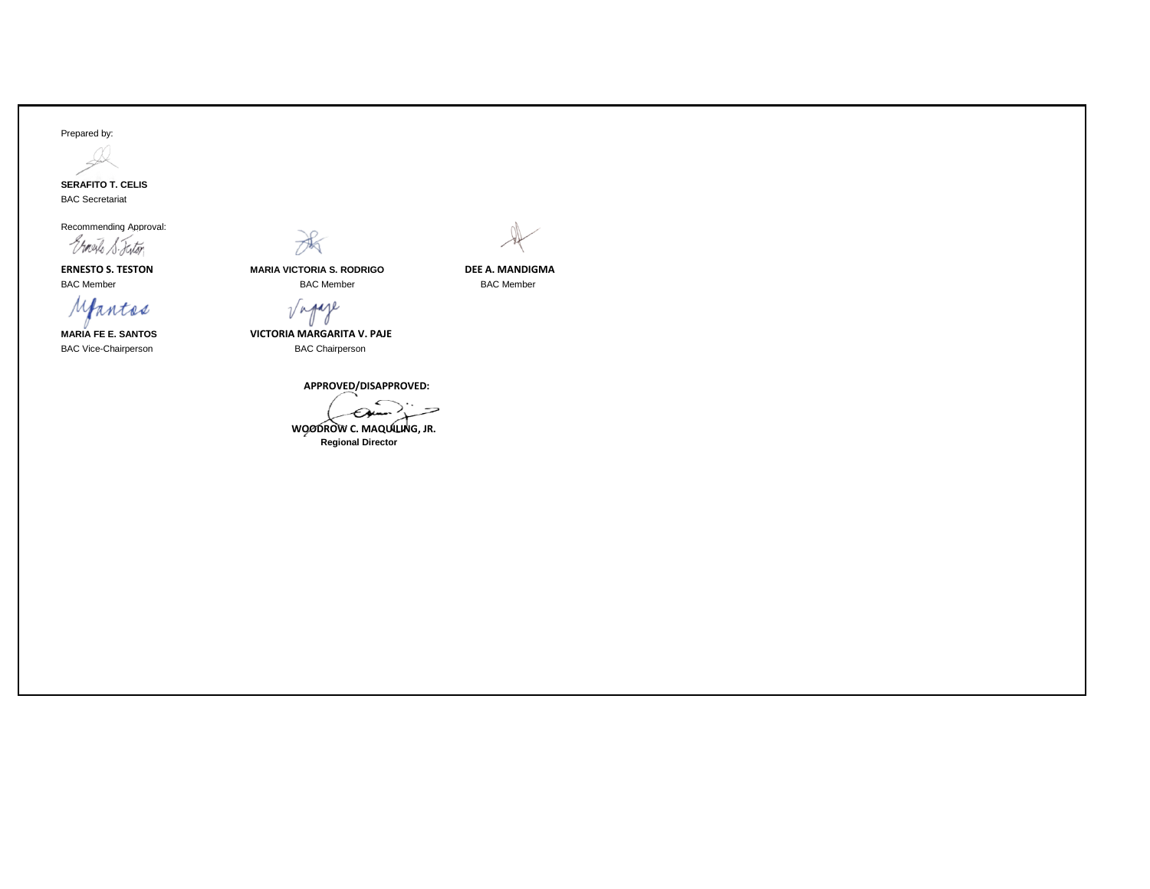## Prepared by:



BAC Secretariat

Recommending Approval:

Ernesto S. Fistor

Mantes

BAC Vice-Chairperson **BAC Chairperson** 



**ERNESTO S. TESTON MARIA VICTORIA S. RODRIGO DEE A. MANDIGMA** BAC Member BAC Member BAC Member

 $\sqrt{n}$ paje

**MARIA FE E. SANTOS VICTORIA MARGARITA V. PAJE**

 **APPROVED/DISAPPROVED:**

 **WOODROW C. MAQUILING, JR. Regional Director**